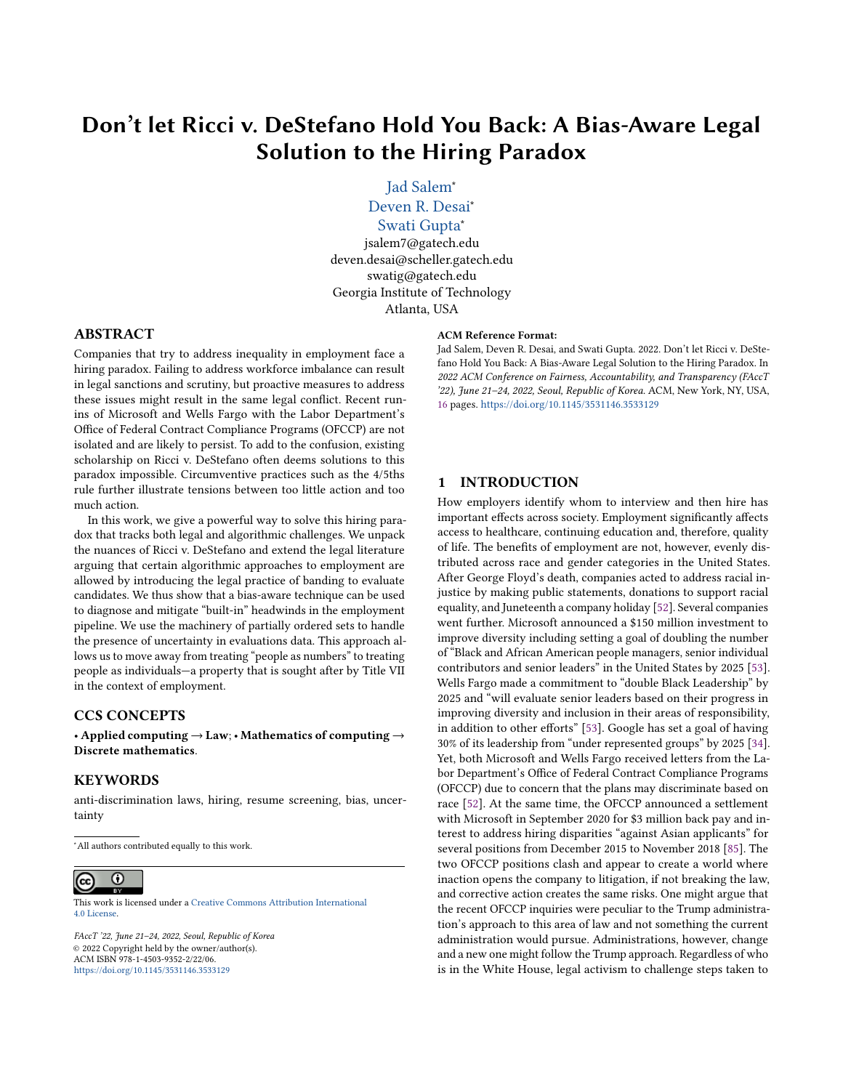# Don't let Ricci v. DeStefano Hold You Back: A Bias-Aware Legal Solution to the Hiring Paradox

[Jad Salem](https://orcid.org/TBD)<sup>∗</sup> [Deven R. Desai](https://orcid.org/TBD)<sup>∗</sup>

[Swati Gupta](https://orcid.org/TBD)<sup>∗</sup>

jsalem7@gatech.edu deven.desai@scheller.gatech.edu swatig@gatech.edu Georgia Institute of Technology Atlanta, USA

### ABSTRACT

Companies that try to address inequality in employment face a hiring paradox. Failing to address workforce imbalance can result in legal sanctions and scrutiny, but proactive measures to address these issues might result in the same legal conflict. Recent runins of Microsoft and Wells Fargo with the Labor Department's Office of Federal Contract Compliance Programs (OFCCP) are not isolated and are likely to persist. To add to the confusion, existing scholarship on Ricci v. DeStefano often deems solutions to this paradox impossible. Circumventive practices such as the 4/5ths rule further illustrate tensions between too little action and too much action.

In this work, we give a powerful way to solve this hiring paradox that tracks both legal and algorithmic challenges. We unpack the nuances of Ricci v. DeStefano and extend the legal literature arguing that certain algorithmic approaches to employment are allowed by introducing the legal practice of banding to evaluate candidates. We thus show that a bias-aware technique can be used to diagnose and mitigate "built-in" headwinds in the employment pipeline. We use the machinery of partially ordered sets to handle the presence of uncertainty in evaluations data. This approach allows us to move away from treating "people as numbers" to treating people as individuals—a property that is sought after by Title VII in the context of employment.

### CCS CONCEPTS

• Applied computing  $\rightarrow$  Law; • Mathematics of computing  $\rightarrow$ Discrete mathematics.

### **KEYWORDS**

anti-discrimination laws, hiring, resume screening, bias, uncertainty

<sup>∗</sup>All authors contributed equally to this work.

#### $\odot$  $(cc)$

This work is licensed under a [Creative Commons Attribution International](https://creativecommons.org/licenses/by/4.0/) [4.0 License.](https://creativecommons.org/licenses/by/4.0/)

FAccT '22, June 21–24, 2022, Seoul, Republic of Korea © 2022 Copyright held by the owner/author(s). ACM ISBN 978-1-4503-9352-2/22/06. <https://doi.org/10.1145/3531146.3533129>

#### ACM Reference Format:

Jad Salem, Deven R. Desai, and Swati Gupta. 2022. Don't let Ricci v. DeStefano Hold You Back: A Bias-Aware Legal Solution to the Hiring Paradox. In 2022 ACM Conference on Fairness, Accountability, and Transparency (FAccT '22), June 21–24, 2022, Seoul, Republic of Korea. ACM, New York, NY, USA, [16](#page-15-0) pages. <https://doi.org/10.1145/3531146.3533129>

### 1 INTRODUCTION

How employers identify whom to interview and then hire has important effects across society. Employment significantly affects access to healthcare, continuing education and, therefore, quality of life. The benefits of employment are not, however, evenly distributed across race and gender categories in the United States. After George Floyd's death, companies acted to address racial injustice by making public statements, donations to support racial equality, and Juneteenth a company holiday [\[52\]](#page-10-0). Several companies went further. Microsoft announced a \$150 million investment to improve diversity including setting a goal of doubling the number of "Black and African American people managers, senior individual contributors and senior leaders" in the United States by 2025 [\[53\]](#page-10-1). Wells Fargo made a commitment to "double Black Leadership" by 2025 and "will evaluate senior leaders based on their progress in improving diversity and inclusion in their areas of responsibility, in addition to other efforts" [\[53\]](#page-10-1). Google has set a goal of having 30% of its leadership from "under represented groups" by 2025 [\[34\]](#page-10-2). Yet, both Microsoft and Wells Fargo received letters from the Labor Department's Office of Federal Contract Compliance Programs (OFCCP) due to concern that the plans may discriminate based on race [\[52\]](#page-10-0). At the same time, the OFCCP announced a settlement with Microsoft in September 2020 for \$3 million back pay and interest to address hiring disparities "against Asian applicants" for several positions from December 2015 to November 2018 [\[85\]](#page-11-0). The two OFCCP positions clash and appear to create a world where inaction opens the company to litigation, if not breaking the law, and corrective action creates the same risks. One might argue that the recent OFCCP inquiries were peculiar to the Trump administration's approach to this area of law and not something the current administration would pursue. Administrations, however, change and a new one might follow the Trump approach. Regardless of who is in the White House, legal activism to challenge steps taken to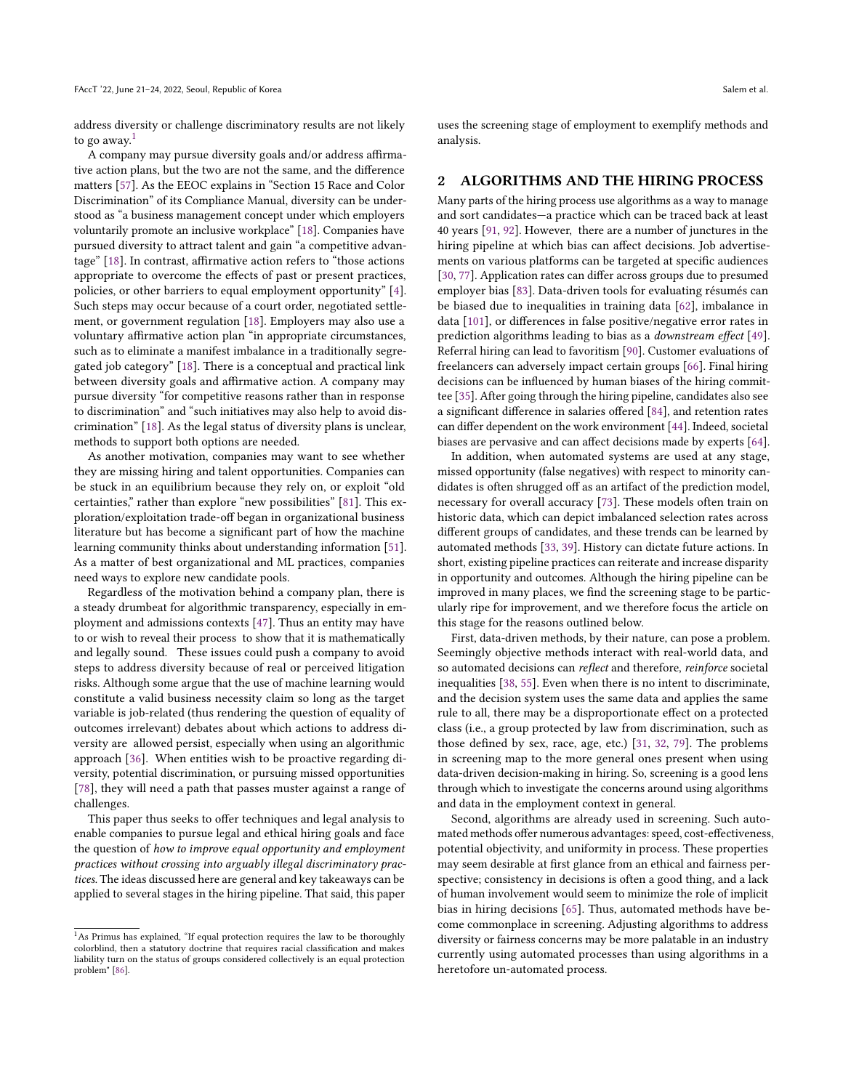address diversity or challenge discriminatory results are not likely to go away. $<sup>1</sup>$  $<sup>1</sup>$  $<sup>1</sup>$ </sup>

A company may pursue diversity goals and/or address affirmative action plans, but the two are not the same, and the difference matters [\[57\]](#page-10-3). As the EEOC explains in "Section 15 Race and Color Discrimination" of its Compliance Manual, diversity can be understood as "a business management concept under which employers voluntarily promote an inclusive workplace" [\[18\]](#page-10-4). Companies have pursued diversity to attract talent and gain "a competitive advantage" [\[18\]](#page-10-4). In contrast, affirmative action refers to "those actions appropriate to overcome the effects of past or present practices, policies, or other barriers to equal employment opportunity" [\[4\]](#page-10-5). Such steps may occur because of a court order, negotiated settlement, or government regulation [\[18\]](#page-10-4). Employers may also use a voluntary affirmative action plan "in appropriate circumstances, such as to eliminate a manifest imbalance in a traditionally segregated job category" [\[18\]](#page-10-4). There is a conceptual and practical link between diversity goals and affirmative action. A company may pursue diversity "for competitive reasons rather than in response to discrimination" and "such initiatives may also help to avoid discrimination" [\[18\]](#page-10-4). As the legal status of diversity plans is unclear, methods to support both options are needed.

As another motivation, companies may want to see whether they are missing hiring and talent opportunities. Companies can be stuck in an equilibrium because they rely on, or exploit "old certainties," rather than explore "new possibilities" [\[81\]](#page-11-1). This exploration/exploitation trade-off began in organizational business literature but has become a significant part of how the machine learning community thinks about understanding information [\[51\]](#page-10-6). As a matter of best organizational and ML practices, companies need ways to explore new candidate pools.

Regardless of the motivation behind a company plan, there is a steady drumbeat for algorithmic transparency, especially in employment and admissions contexts [\[47\]](#page-10-7). Thus an entity may have to or wish to reveal their process to show that it is mathematically and legally sound. These issues could push a company to avoid steps to address diversity because of real or perceived litigation risks. Although some argue that the use of machine learning would constitute a valid business necessity claim so long as the target variable is job-related (thus rendering the question of equality of outcomes irrelevant) debates about which actions to address diversity are allowed persist, especially when using an algorithmic approach [\[36\]](#page-10-8). When entities wish to be proactive regarding diversity, potential discrimination, or pursuing missed opportunities [\[78\]](#page-11-2), they will need a path that passes muster against a range of challenges.

This paper thus seeks to offer techniques and legal analysis to enable companies to pursue legal and ethical hiring goals and face the question of how to improve equal opportunity and employment practices without crossing into arguably illegal discriminatory practices. The ideas discussed here are general and key takeaways can be applied to several stages in the hiring pipeline. That said, this paper

uses the screening stage of employment to exemplify methods and analysis.

### 2 ALGORITHMS AND THE HIRING PROCESS

Many parts of the hiring process use algorithms as a way to manage and sort candidates—a practice which can be traced back at least 40 years [\[91,](#page-11-4) [92\]](#page-11-5). However, there are a number of junctures in the hiring pipeline at which bias can affect decisions. Job advertisements on various platforms can be targeted at specific audiences [\[30,](#page-10-9) [77\]](#page-11-6). Application rates can differ across groups due to presumed employer bias [\[83\]](#page-11-7). Data-driven tools for evaluating résumés can be biased due to inequalities in training data [\[62\]](#page-10-10), imbalance in data [\[101\]](#page-11-8), or differences in false positive/negative error rates in prediction algorithms leading to bias as a downstream effect [\[49\]](#page-10-11). Referral hiring can lead to favoritism [\[90\]](#page-11-9). Customer evaluations of freelancers can adversely impact certain groups [\[66\]](#page-10-12). Final hiring decisions can be influenced by human biases of the hiring committee [\[35\]](#page-10-13). After going through the hiring pipeline, candidates also see a significant difference in salaries offered [\[84\]](#page-11-10), and retention rates can differ dependent on the work environment [\[44\]](#page-10-14). Indeed, societal biases are pervasive and can affect decisions made by experts [\[64\]](#page-10-15).

In addition, when automated systems are used at any stage, missed opportunity (false negatives) with respect to minority candidates is often shrugged off as an artifact of the prediction model, necessary for overall accuracy [\[73\]](#page-11-11). These models often train on historic data, which can depict imbalanced selection rates across different groups of candidates, and these trends can be learned by automated methods [\[33,](#page-10-16) [39\]](#page-10-17). History can dictate future actions. In short, existing pipeline practices can reiterate and increase disparity in opportunity and outcomes. Although the hiring pipeline can be improved in many places, we find the screening stage to be particularly ripe for improvement, and we therefore focus the article on this stage for the reasons outlined below.

First, data-driven methods, by their nature, can pose a problem. Seemingly objective methods interact with real-world data, and so automated decisions can reflect and therefore, reinforce societal inequalities [\[38,](#page-10-18) [55\]](#page-10-19). Even when there is no intent to discriminate, and the decision system uses the same data and applies the same rule to all, there may be a disproportionate effect on a protected class (i.e., a group protected by law from discrimination, such as those defined by sex, race, age, etc.) [\[31,](#page-10-20) [32,](#page-10-21) [79\]](#page-11-12). The problems in screening map to the more general ones present when using data-driven decision-making in hiring. So, screening is a good lens through which to investigate the concerns around using algorithms and data in the employment context in general.

Second, algorithms are already used in screening. Such automated methods offer numerous advantages: speed, cost-effectiveness, potential objectivity, and uniformity in process. These properties may seem desirable at first glance from an ethical and fairness perspective; consistency in decisions is often a good thing, and a lack of human involvement would seem to minimize the role of implicit bias in hiring decisions [\[65\]](#page-10-22). Thus, automated methods have become commonplace in screening. Adjusting algorithms to address diversity or fairness concerns may be more palatable in an industry currently using automated processes than using algorithms in a heretofore un-automated process.

<span id="page-1-0"></span> $^{\rm 1}$  As Primus has explained, "If equal protection requires the law to be thoroughly colorblind, then a statutory doctrine that requires racial classification and makes liability turn on the status of groups considered collectively is an equal protection problem" [\[86\]](#page-11-3).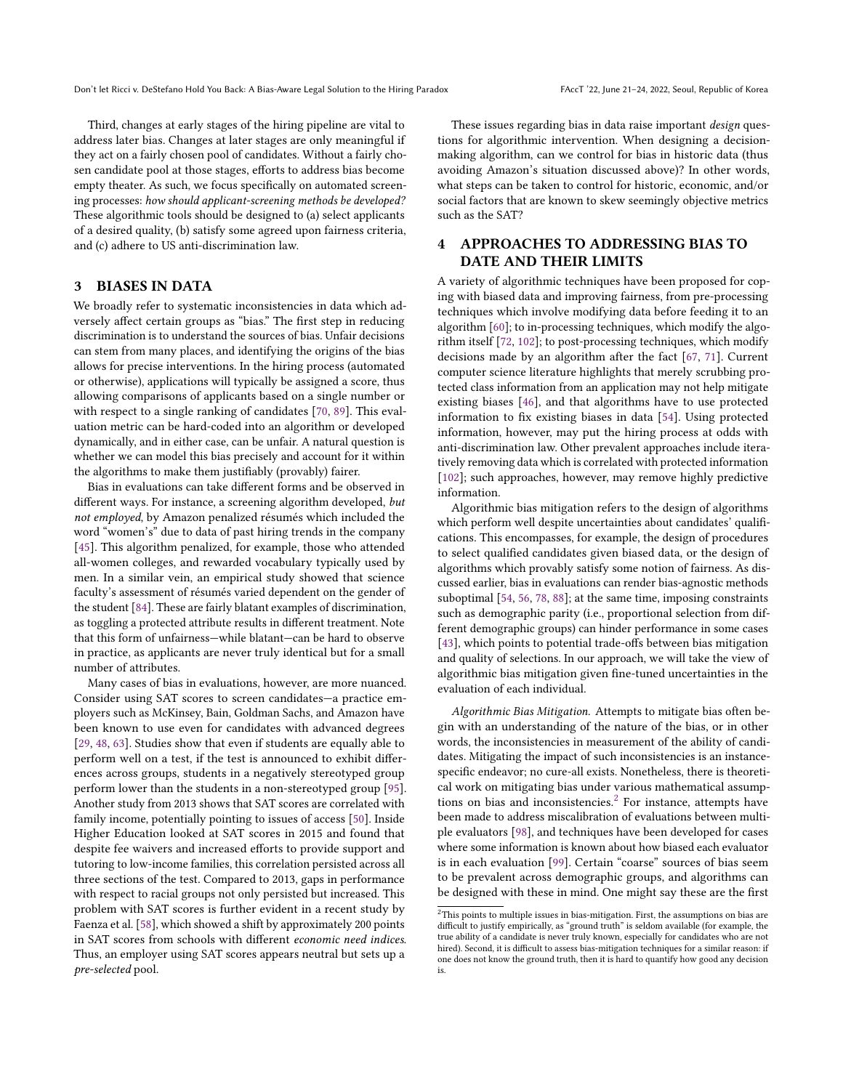Third, changes at early stages of the hiring pipeline are vital to address later bias. Changes at later stages are only meaningful if they act on a fairly chosen pool of candidates. Without a fairly chosen candidate pool at those stages, efforts to address bias become empty theater. As such, we focus specifically on automated screening processes: how should applicant-screening methods be developed? These algorithmic tools should be designed to (a) select applicants of a desired quality, (b) satisfy some agreed upon fairness criteria, and (c) adhere to US anti-discrimination law.

# <span id="page-2-1"></span>3 BIASES IN DATA

We broadly refer to systematic inconsistencies in data which adversely affect certain groups as "bias." The first step in reducing discrimination is to understand the sources of bias. Unfair decisions can stem from many places, and identifying the origins of the bias allows for precise interventions. In the hiring process (automated or otherwise), applications will typically be assigned a score, thus allowing comparisons of applicants based on a single number or with respect to a single ranking of candidates [\[70,](#page-11-13) [89\]](#page-11-14). This evaluation metric can be hard-coded into an algorithm or developed dynamically, and in either case, can be unfair. A natural question is whether we can model this bias precisely and account for it within the algorithms to make them justifiably (provably) fairer.

Bias in evaluations can take different forms and be observed in different ways. For instance, a screening algorithm developed, but not employed, by Amazon penalized résumés which included the word "women's" due to data of past hiring trends in the company [\[45\]](#page-10-23). This algorithm penalized, for example, those who attended all-women colleges, and rewarded vocabulary typically used by men. In a similar vein, an empirical study showed that science faculty's assessment of résumés varied dependent on the gender of the student [\[84\]](#page-11-10). These are fairly blatant examples of discrimination, as toggling a protected attribute results in different treatment. Note that this form of unfairness—while blatant—can be hard to observe in practice, as applicants are never truly identical but for a small number of attributes.

Many cases of bias in evaluations, however, are more nuanced. Consider using SAT scores to screen candidates—a practice employers such as McKinsey, Bain, Goldman Sachs, and Amazon have been known to use even for candidates with advanced degrees [\[29,](#page-10-24) [48,](#page-10-25) [63\]](#page-10-26). Studies show that even if students are equally able to perform well on a test, if the test is announced to exhibit differences across groups, students in a negatively stereotyped group perform lower than the students in a non-stereotyped group [\[95\]](#page-11-15). Another study from 2013 shows that SAT scores are correlated with family income, potentially pointing to issues of access [\[50\]](#page-10-27). Inside Higher Education looked at SAT scores in 2015 and found that despite fee waivers and increased efforts to provide support and tutoring to low-income families, this correlation persisted across all three sections of the test. Compared to 2013, gaps in performance with respect to racial groups not only persisted but increased. This problem with SAT scores is further evident in a recent study by Faenza et al. [\[58\]](#page-10-28), which showed a shift by approximately 200 points in SAT scores from schools with different economic need indices. Thus, an employer using SAT scores appears neutral but sets up a pre-selected pool.

These issues regarding bias in data raise important design questions for algorithmic intervention. When designing a decisionmaking algorithm, can we control for bias in historic data (thus avoiding Amazon's situation discussed above)? In other words, what steps can be taken to control for historic, economic, and/or social factors that are known to skew seemingly objective metrics such as the SAT?

# 4 APPROACHES TO ADDRESSING BIAS TO DATE AND THEIR LIMITS

A variety of algorithmic techniques have been proposed for coping with biased data and improving fairness, from pre-processing techniques which involve modifying data before feeding it to an algorithm [\[60\]](#page-10-29); to in-processing techniques, which modify the algorithm itself [\[72,](#page-11-16) [102\]](#page-11-17); to post-processing techniques, which modify decisions made by an algorithm after the fact [\[67,](#page-10-30) [71\]](#page-11-18). Current computer science literature highlights that merely scrubbing protected class information from an application may not help mitigate existing biases [\[46\]](#page-10-31), and that algorithms have to use protected information to fix existing biases in data [\[54\]](#page-10-32). Using protected information, however, may put the hiring process at odds with anti-discrimination law. Other prevalent approaches include iteratively removing data which is correlated with protected information [\[102\]](#page-11-17); such approaches, however, may remove highly predictive information.

Algorithmic bias mitigation refers to the design of algorithms which perform well despite uncertainties about candidates' qualifications. This encompasses, for example, the design of procedures to select qualified candidates given biased data, or the design of algorithms which provably satisfy some notion of fairness. As discussed earlier, bias in evaluations can render bias-agnostic methods suboptimal [\[54,](#page-10-32) [56,](#page-10-33) [78,](#page-11-2) [88\]](#page-11-19); at the same time, imposing constraints such as demographic parity (i.e., proportional selection from different demographic groups) can hinder performance in some cases [\[43\]](#page-10-34), which points to potential trade-offs between bias mitigation and quality of selections. In our approach, we will take the view of algorithmic bias mitigation given fine-tuned uncertainties in the evaluation of each individual.

Algorithmic Bias Mitigation. Attempts to mitigate bias often begin with an understanding of the nature of the bias, or in other words, the inconsistencies in measurement of the ability of candidates. Mitigating the impact of such inconsistencies is an instancespecific endeavor; no cure-all exists. Nonetheless, there is theoretical work on mitigating bias under various mathematical assump-tions on bias and inconsistencies.<sup>[2](#page-2-0)</sup> For instance, attempts have been made to address miscalibration of evaluations between multiple evaluators [\[98\]](#page-11-20), and techniques have been developed for cases where some information is known about how biased each evaluator is in each evaluation [\[99\]](#page-11-21). Certain "coarse" sources of bias seem to be prevalent across demographic groups, and algorithms can be designed with these in mind. One might say these are the first

<span id="page-2-0"></span> $2$ This points to multiple issues in bias-mitigation. First, the assumptions on bias are difficult to justify empirically, as "ground truth" is seldom available (for example, the true ability of a candidate is never truly known, especially for candidates who are not hired). Second, it is difficult to assess bias-mitigation techniques for a similar reason: if one does not know the ground truth, then it is hard to quantify how good any decision is.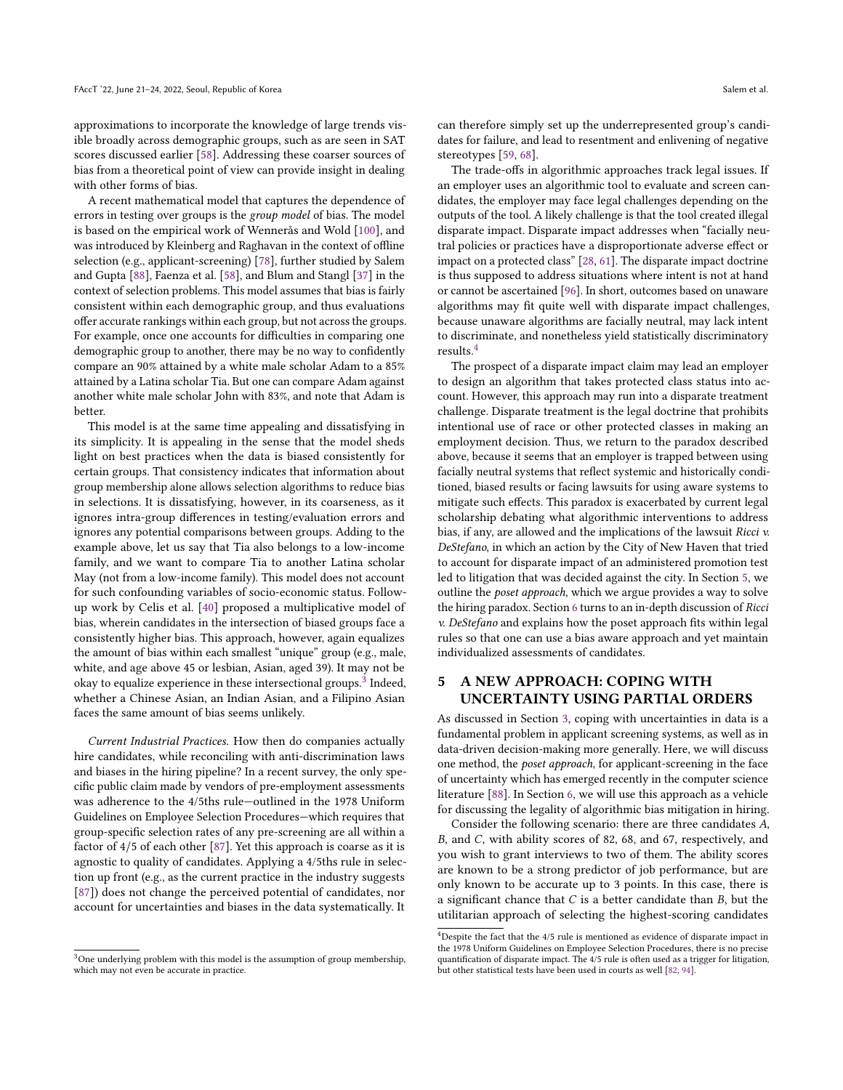approximations to incorporate the knowledge of large trends visible broadly across demographic groups, such as are seen in SAT scores discussed earlier [\[58\]](#page-10-28). Addressing these coarser sources of bias from a theoretical point of view can provide insight in dealing with other forms of bias.

A recent mathematical model that captures the dependence of errors in testing over groups is the group model of bias. The model is based on the empirical work of Wennerås and Wold [\[100\]](#page-11-22), and was introduced by Kleinberg and Raghavan in the context of offline selection (e.g., applicant-screening) [\[78\]](#page-11-2), further studied by Salem and Gupta [\[88\]](#page-11-19), Faenza et al. [\[58\]](#page-10-28), and Blum and Stangl [\[37\]](#page-10-35) in the context of selection problems. This model assumes that bias is fairly consistent within each demographic group, and thus evaluations offer accurate rankings within each group, but not across the groups. For example, once one accounts for difficulties in comparing one demographic group to another, there may be no way to confidently compare an 90% attained by a white male scholar Adam to a 85% attained by a Latina scholar Tia. But one can compare Adam against another white male scholar John with 83%, and note that Adam is better.

This model is at the same time appealing and dissatisfying in its simplicity. It is appealing in the sense that the model sheds light on best practices when the data is biased consistently for certain groups. That consistency indicates that information about group membership alone allows selection algorithms to reduce bias in selections. It is dissatisfying, however, in its coarseness, as it ignores intra-group differences in testing/evaluation errors and ignores any potential comparisons between groups. Adding to the example above, let us say that Tia also belongs to a low-income family, and we want to compare Tia to another Latina scholar May (not from a low-income family). This model does not account for such confounding variables of socio-economic status. Followup work by Celis et al. [\[40\]](#page-10-36) proposed a multiplicative model of bias, wherein candidates in the intersection of biased groups face a consistently higher bias. This approach, however, again equalizes the amount of bias within each smallest "unique" group (e.g., male, white, and age above 45 or lesbian, Asian, aged 39). It may not be okay to equalize experience in these intersectional groups.<sup>[3](#page-3-0)</sup> Indeed, whether a Chinese Asian, an Indian Asian, and a Filipino Asian faces the same amount of bias seems unlikely.

Current Industrial Practices. How then do companies actually hire candidates, while reconciling with anti-discrimination laws and biases in the hiring pipeline? In a recent survey, the only specific public claim made by vendors of pre-employment assessments was adherence to the 4/5ths rule—outlined in the 1978 Uniform Guidelines on Employee Selection Procedures—which requires that group-specific selection rates of any pre-screening are all within a factor of 4/5 of each other [\[87\]](#page-11-23). Yet this approach is coarse as it is agnostic to quality of candidates. Applying a 4/5ths rule in selection up front (e.g., as the current practice in the industry suggests [\[87\]](#page-11-23)) does not change the perceived potential of candidates, nor account for uncertainties and biases in the data systematically. It

can therefore simply set up the underrepresented group's candidates for failure, and lead to resentment and enlivening of negative stereotypes [\[59,](#page-10-37) [68\]](#page-10-38).

The trade-offs in algorithmic approaches track legal issues. If an employer uses an algorithmic tool to evaluate and screen candidates, the employer may face legal challenges depending on the outputs of the tool. A likely challenge is that the tool created illegal disparate impact. Disparate impact addresses when "facially neutral policies or practices have a disproportionate adverse effect or impact on a protected class" [\[28,](#page-10-39) [61\]](#page-10-40). The disparate impact doctrine is thus supposed to address situations where intent is not at hand or cannot be ascertained [\[96\]](#page-11-24). In short, outcomes based on unaware algorithms may fit quite well with disparate impact challenges, because unaware algorithms are facially neutral, may lack intent to discriminate, and nonetheless yield statistically discriminatory results.[4](#page-3-1)

The prospect of a disparate impact claim may lead an employer to design an algorithm that takes protected class status into account. However, this approach may run into a disparate treatment challenge. Disparate treatment is the legal doctrine that prohibits intentional use of race or other protected classes in making an employment decision. Thus, we return to the paradox described above, because it seems that an employer is trapped between using facially neutral systems that reflect systemic and historically conditioned, biased results or facing lawsuits for using aware systems to mitigate such effects. This paradox is exacerbated by current legal scholarship debating what algorithmic interventions to address bias, if any, are allowed and the implications of the lawsuit Ricci v. DeStefano, in which an action by the City of New Haven that tried to account for disparate impact of an administered promotion test led to litigation that was decided against the city. In Section [5,](#page-3-2) we outline the poset approach, which we argue provides a way to solve the hiring paradox. Section [6](#page-6-0) turns to an in-depth discussion of Ricci v. DeStefano and explains how the poset approach fits within legal rules so that one can use a bias aware approach and yet maintain individualized assessments of candidates.

# <span id="page-3-2"></span>5 A NEW APPROACH: COPING WITH UNCERTAINTY USING PARTIAL ORDERS

As discussed in Section [3,](#page-2-1) coping with uncertainties in data is a fundamental problem in applicant screening systems, as well as in data-driven decision-making more generally. Here, we will discuss one method, the poset approach, for applicant-screening in the face of uncertainty which has emerged recently in the computer science literature [\[88\]](#page-11-19). In Section [6,](#page-6-0) we will use this approach as a vehicle for discussing the legality of algorithmic bias mitigation in hiring.

Consider the following scenario: there are three candidates A, B, and C, with ability scores of 82, 68, and 67, respectively, and you wish to grant interviews to two of them. The ability scores are known to be a strong predictor of job performance, but are only known to be accurate up to 3 points. In this case, there is a significant chance that  $C$  is a better candidate than  $B$ , but the utilitarian approach of selecting the highest-scoring candidates

<span id="page-3-0"></span> $3$  One underlying problem with this model is the assumption of group membership, which may not even be accurate in practice.

<span id="page-3-1"></span> $^4$  Despite the fact that the  $4/5$  rule is mentioned as evidence of disparate impact in the 1978 Uniform Guidelines on Employee Selection Procedures, there is no precise quantification of disparate impact. The 4/5 rule is often used as a trigger for litigation, but other statistical tests have been used in courts as well [\[82,](#page-11-25) [94\]](#page-11-26).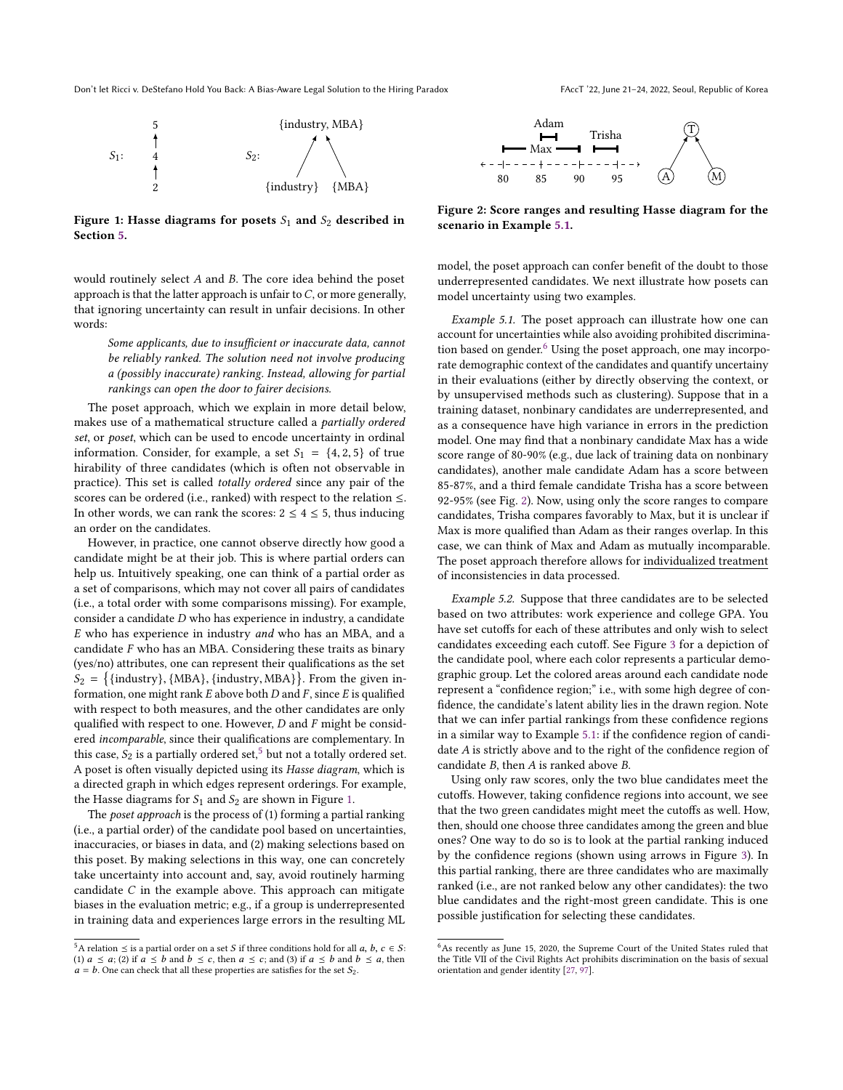Don't let Ricci v. DeStefano Hold You Back: A Bias-Aware Legal Solution to the Hiring Paradox FAccT '22, June 21-24, 2022, Seoul, Republic of Korea

<span id="page-4-1"></span>

Figure 1: Hasse diagrams for posets  $S_1$  and  $S_2$  described in Section [5.](#page-3-2)

would routinely select A and B. The core idea behind the poset approach is that the latter approach is unfair to  $C$ , or more generally, that ignoring uncertainty can result in unfair decisions. In other words:

Some applicants, due to insufficient or inaccurate data, cannot be reliably ranked. The solution need not involve producing a (possibly inaccurate) ranking. Instead, allowing for partial rankings can open the door to fairer decisions.

The poset approach, which we explain in more detail below, makes use of a mathematical structure called a partially ordered set, or poset, which can be used to encode uncertainty in ordinal information. Consider, for example, a set  $S_1 = \{4, 2, 5\}$  of true hirability of three candidates (which is often not observable in practice). This set is called totally ordered since any pair of the scores can be ordered (i.e., ranked) with respect to the relation ≤. In other words, we can rank the scores:  $2 \leq 4 \leq 5$ , thus inducing an order on the candidates.

However, in practice, one cannot observe directly how good a candidate might be at their job. This is where partial orders can help us. Intuitively speaking, one can think of a partial order as a set of comparisons, which may not cover all pairs of candidates (i.e., a total order with some comparisons missing). For example, consider a candidate D who has experience in industry, a candidate E who has experience in industry and who has an MBA, and a candidate  $F$  who has an MBA. Considering these traits as binary (yes/no) attributes, one can represent their qualifications as the set  $S_2 = \{ \{\text{industry}\}, \{\text{MBA}\}, \{\text{industry}, \text{MBA}\} \}.$  From the given in-<br>formation, one might rank E above both D and E since E is qualified formation, one might rank  $E$  above both  $D$  and  $F$ , since  $E$  is qualified with respect to both measures, and the other candidates are only qualified with respect to one. However,  $D$  and  $F$  might be considered incomparable, since their qualifications are complementary. In this case,  $S_2$  is a partially ordered set,<sup>[5](#page-4-0)</sup> but not a totally ordered set. A poset is often visually depicted using its Hasse diagram, which is a directed graph in which edges represent orderings. For example, the Hasse diagrams for  $S_1$  and  $S_2$  are shown in Figure [1.](#page-4-1)

The poset approach is the process of (1) forming a partial ranking (i.e., a partial order) of the candidate pool based on uncertainties, inaccuracies, or biases in data, and (2) making selections based on this poset. By making selections in this way, one can concretely take uncertainty into account and, say, avoid routinely harming candidate C in the example above. This approach can mitigate biases in the evaluation metric; e.g., if a group is underrepresented in training data and experiences large errors in the resulting ML

<span id="page-4-4"></span>

Figure 2: Score ranges and resulting Hasse diagram for the scenario in Example [5.1.](#page-4-2)

model, the poset approach can confer benefit of the doubt to those underrepresented candidates. We next illustrate how posets can model uncertainty using two examples.

<span id="page-4-2"></span>Example 5.1. The poset approach can illustrate how one can account for uncertainties while also avoiding prohibited discrimination based on gender. $6$  Using the poset approach, one may incorporate demographic context of the candidates and quantify uncertainy in their evaluations (either by directly observing the context, or by unsupervised methods such as clustering). Suppose that in a training dataset, nonbinary candidates are underrepresented, and as a consequence have high variance in errors in the prediction model. One may find that a nonbinary candidate Max has a wide score range of 80-90% (e.g., due lack of training data on nonbinary candidates), another male candidate Adam has a score between 85-87%, and a third female candidate Trisha has a score between 92-95% (see Fig. [2\)](#page-4-4). Now, using only the score ranges to compare candidates, Trisha compares favorably to Max, but it is unclear if Max is more qualified than Adam as their ranges overlap. In this case, we can think of Max and Adam as mutually incomparable. The poset approach therefore allows for individualized treatment of inconsistencies in data processed.

<span id="page-4-5"></span>Example 5.2. Suppose that three candidates are to be selected based on two attributes: work experience and college GPA. You have set cutoffs for each of these attributes and only wish to select candidates exceeding each cutoff. See Figure [3](#page-5-0) for a depiction of the candidate pool, where each color represents a particular demographic group. Let the colored areas around each candidate node represent a "confidence region;" i.e., with some high degree of confidence, the candidate's latent ability lies in the drawn region. Note that we can infer partial rankings from these confidence regions in a similar way to Example [5.1:](#page-4-2) if the confidence region of candidate A is strictly above and to the right of the confidence region of candidate B, then A is ranked above B.

Using only raw scores, only the two blue candidates meet the cutoffs. However, taking confidence regions into account, we see that the two green candidates might meet the cutoffs as well. How, then, should one choose three candidates among the green and blue ones? One way to do so is to look at the partial ranking induced by the confidence regions (shown using arrows in Figure [3\)](#page-5-0). In this partial ranking, there are three candidates who are maximally ranked (i.e., are not ranked below any other candidates): the two blue candidates and the right-most green candidate. This is one possible justification for selecting these candidates.

<span id="page-4-0"></span><sup>&</sup>lt;sup>5</sup>A relation  $\leq$  is a partial order on a set S if three conditions hold for all a, b, c  $\in$  S: (1)  $a \le a$ ; (2) if  $a \le b$  and  $b \le c$ , then  $a \le c$ ; and (3) if  $a \le b$  and  $b \le a$ , then  $a = b$ . One can check that all these properties are satisfies for the set  $S_2$ .

<span id="page-4-3"></span> $6$ As recently as June 15, 2020, the Supreme Court of the United States ruled that the Title VII of the Civil Rights Act prohibits discrimination on the basis of sexual orientation and gender identity [\[27,](#page-10-41) [97\]](#page-11-27).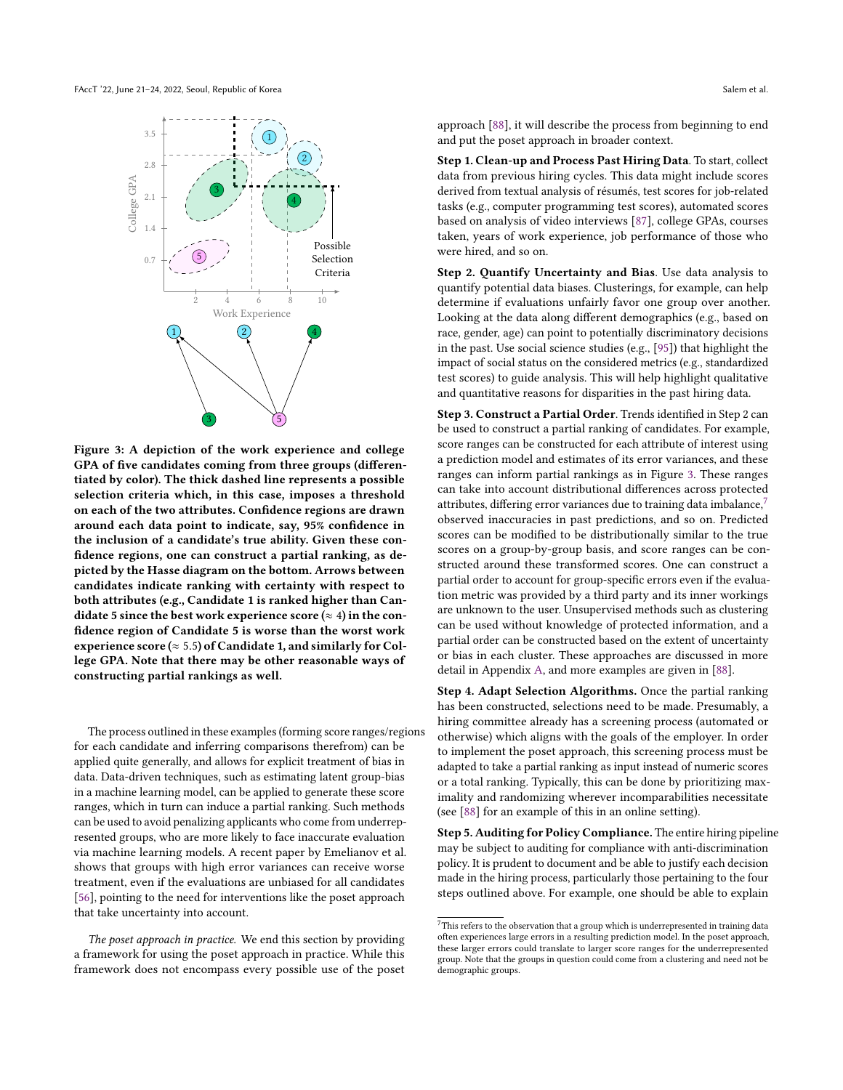<span id="page-5-0"></span>FAccT '22, June 21–24, 2022, Seoul, Republic of Korea Salem et al. Salem et al. Salem et al.



Figure 3: A depiction of the work experience and college GPA of five candidates coming from three groups (differentiated by color). The thick dashed line represents a possible selection criteria which, in this case, imposes a threshold on each of the two attributes. Confidence regions are drawn around each data point to indicate, say, 95% confidence in the inclusion of a candidate's true ability. Given these confidence regions, one can construct a partial ranking, as depicted by the Hasse diagram on the bottom. Arrows between candidates indicate ranking with certainty with respect to both attributes (e.g., Candidate 1 is ranked higher than Candidate 5 since the best work experience score ( $\approx 4$ ) in the confidence region of Candidate 5 is worse than the worst work experience score ( $\approx$  5.5) of Candidate 1, and similarly for College GPA. Note that there may be other reasonable ways of constructing partial rankings as well.

The process outlined in these examples (forming score ranges/regions for each candidate and inferring comparisons therefrom) can be applied quite generally, and allows for explicit treatment of bias in data. Data-driven techniques, such as estimating latent group-bias in a machine learning model, can be applied to generate these score ranges, which in turn can induce a partial ranking. Such methods can be used to avoid penalizing applicants who come from underrepresented groups, who are more likely to face inaccurate evaluation via machine learning models. A recent paper by Emelianov et al. shows that groups with high error variances can receive worse treatment, even if the evaluations are unbiased for all candidates [\[56\]](#page-10-33), pointing to the need for interventions like the poset approach that take uncertainty into account.

The poset approach in practice. We end this section by providing a framework for using the poset approach in practice. While this framework does not encompass every possible use of the poset approach [\[88\]](#page-11-19), it will describe the process from beginning to end and put the poset approach in broader context.

Step 1. Clean-up and Process Past Hiring Data. To start, collect data from previous hiring cycles. This data might include scores derived from textual analysis of résumés, test scores for job-related tasks (e.g., computer programming test scores), automated scores based on analysis of video interviews [\[87\]](#page-11-23), college GPAs, courses taken, years of work experience, job performance of those who were hired, and so on.

Step 2. Quantify Uncertainty and Bias. Use data analysis to quantify potential data biases. Clusterings, for example, can help determine if evaluations unfairly favor one group over another. Looking at the data along different demographics (e.g., based on race, gender, age) can point to potentially discriminatory decisions in the past. Use social science studies (e.g., [\[95\]](#page-11-15)) that highlight the impact of social status on the considered metrics (e.g., standardized test scores) to guide analysis. This will help highlight qualitative and quantitative reasons for disparities in the past hiring data.

Step 3. Construct a Partial Order. Trends identified in Step 2 can be used to construct a partial ranking of candidates. For example, score ranges can be constructed for each attribute of interest using a prediction model and estimates of its error variances, and these ranges can inform partial rankings as in Figure [3.](#page-5-0) These ranges can take into account distributional differences across protected attributes, differing error variances due to training data imbalance, $\frac{7}{10}$  $\frac{7}{10}$  $\frac{7}{10}$ observed inaccuracies in past predictions, and so on. Predicted scores can be modified to be distributionally similar to the true scores on a group-by-group basis, and score ranges can be constructed around these transformed scores. One can construct a partial order to account for group-specific errors even if the evaluation metric was provided by a third party and its inner workings are unknown to the user. Unsupervised methods such as clustering can be used without knowledge of protected information, and a partial order can be constructed based on the extent of uncertainty or bias in each cluster. These approaches are discussed in more detail in Appendix [A,](#page-12-0) and more examples are given in [\[88\]](#page-11-19).

Step 4. Adapt Selection Algorithms. Once the partial ranking has been constructed, selections need to be made. Presumably, a hiring committee already has a screening process (automated or otherwise) which aligns with the goals of the employer. In order to implement the poset approach, this screening process must be adapted to take a partial ranking as input instead of numeric scores or a total ranking. Typically, this can be done by prioritizing maximality and randomizing wherever incomparabilities necessitate (see [\[88\]](#page-11-19) for an example of this in an online setting).

Step 5. Auditing for Policy Compliance. The entire hiring pipeline may be subject to auditing for compliance with anti-discrimination policy. It is prudent to document and be able to justify each decision made in the hiring process, particularly those pertaining to the four steps outlined above. For example, one should be able to explain

<span id="page-5-1"></span> $7$ This refers to the observation that a group which is underrepresented in training data often experiences large errors in a resulting prediction model. In the poset approach, these larger errors could translate to larger score ranges for the underrepresented group. Note that the groups in question could come from a clustering and need not be demographic groups.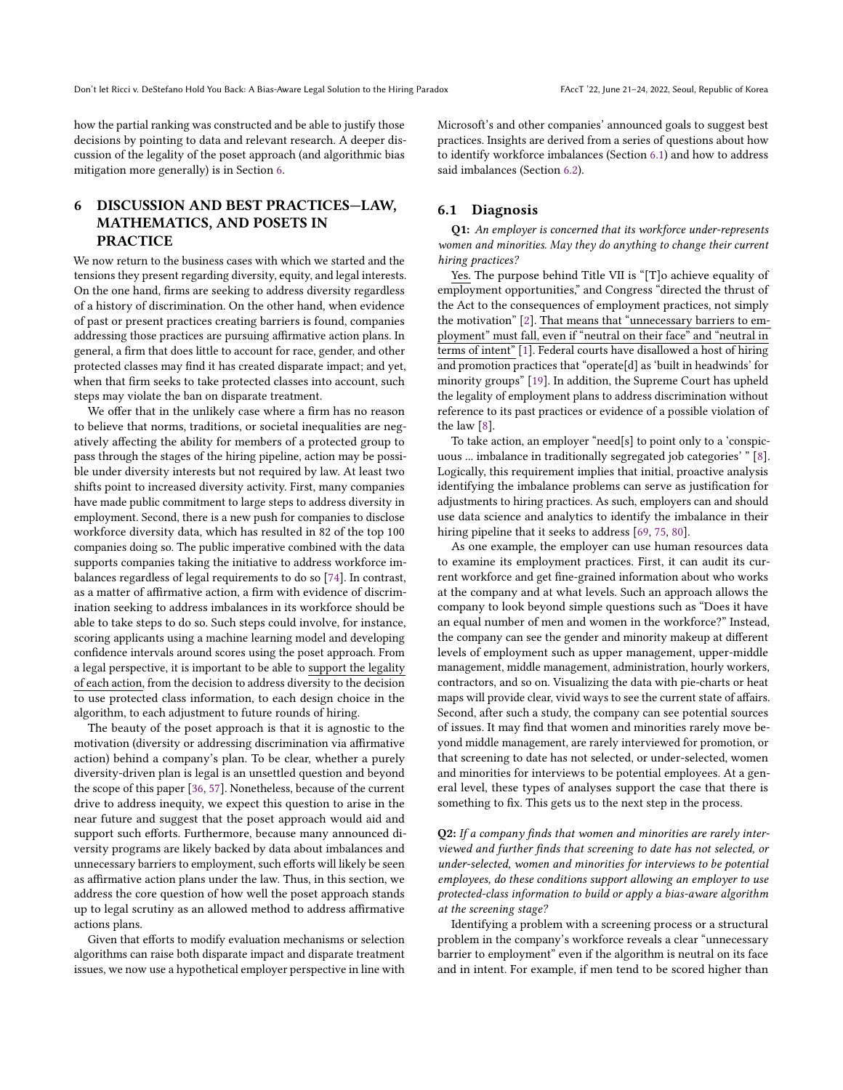how the partial ranking was constructed and be able to justify those decisions by pointing to data and relevant research. A deeper discussion of the legality of the poset approach (and algorithmic bias mitigation more generally) is in Section [6.](#page-6-0)

# <span id="page-6-0"></span>6 DISCUSSION AND BEST PRACTICES—LAW, MATHEMATICS, AND POSETS IN PRACTICE

We now return to the business cases with which we started and the tensions they present regarding diversity, equity, and legal interests. On the one hand, firms are seeking to address diversity regardless of a history of discrimination. On the other hand, when evidence of past or present practices creating barriers is found, companies addressing those practices are pursuing affirmative action plans. In general, a firm that does little to account for race, gender, and other protected classes may find it has created disparate impact; and yet, when that firm seeks to take protected classes into account, such steps may violate the ban on disparate treatment.

We offer that in the unlikely case where a firm has no reason to believe that norms, traditions, or societal inequalities are negatively affecting the ability for members of a protected group to pass through the stages of the hiring pipeline, action may be possible under diversity interests but not required by law. At least two shifts point to increased diversity activity. First, many companies have made public commitment to large steps to address diversity in employment. Second, there is a new push for companies to disclose workforce diversity data, which has resulted in 82 of the top 100 companies doing so. The public imperative combined with the data supports companies taking the initiative to address workforce imbalances regardless of legal requirements to do so [\[74\]](#page-11-28). In contrast, as a matter of affirmative action, a firm with evidence of discrimination seeking to address imbalances in its workforce should be able to take steps to do so. Such steps could involve, for instance, scoring applicants using a machine learning model and developing confidence intervals around scores using the poset approach. From a legal perspective, it is important to be able to support the legality of each action, from the decision to address diversity to the decision to use protected class information, to each design choice in the algorithm, to each adjustment to future rounds of hiring.

The beauty of the poset approach is that it is agnostic to the motivation (diversity or addressing discrimination via affirmative action) behind a company's plan. To be clear, whether a purely diversity-driven plan is legal is an unsettled question and beyond the scope of this paper [\[36,](#page-10-8) [57\]](#page-10-3). Nonetheless, because of the current drive to address inequity, we expect this question to arise in the near future and suggest that the poset approach would aid and support such efforts. Furthermore, because many announced diversity programs are likely backed by data about imbalances and unnecessary barriers to employment, such efforts will likely be seen as affirmative action plans under the law. Thus, in this section, we address the core question of how well the poset approach stands up to legal scrutiny as an allowed method to address affirmative actions plans.

Given that efforts to modify evaluation mechanisms or selection algorithms can raise both disparate impact and disparate treatment issues, we now use a hypothetical employer perspective in line with Microsoft's and other companies' announced goals to suggest best practices. Insights are derived from a series of questions about how to identify workforce imbalances (Section [6.1\)](#page-6-1) and how to address said imbalances (Section [6.2\)](#page-7-0).

### <span id="page-6-1"></span>6.1 Diagnosis

Q1: An employer is concerned that its workforce under-represents women and minorities. May they do anything to change their current hiring practices?

Yes. The purpose behind Title VII is "[T]o achieve equality of employment opportunities," and Congress "directed the thrust of the Act to the consequences of employment practices, not simply the motivation" [\[2\]](#page-10-42). That means that "unnecessary barriers to employment" must fall, even if "neutral on their face" and "neutral in terms of intent" [\[1\]](#page-10-43). Federal courts have disallowed a host of hiring and promotion practices that "operate[d] as 'built in headwinds' for minority groups" [\[19\]](#page-10-44). In addition, the Supreme Court has upheld the legality of employment plans to address discrimination without reference to its past practices or evidence of a possible violation of the law [\[8\]](#page-10-45).

To take action, an employer "need[s] to point only to a 'conspicuous ... imbalance in traditionally segregated job categories' " [\[8\]](#page-10-45). Logically, this requirement implies that initial, proactive analysis identifying the imbalance problems can serve as justification for adjustments to hiring practices. As such, employers can and should use data science and analytics to identify the imbalance in their hiring pipeline that it seeks to address [\[69,](#page-10-46) [75,](#page-11-29) [80\]](#page-11-30).

As one example, the employer can use human resources data to examine its employment practices. First, it can audit its current workforce and get fine-grained information about who works at the company and at what levels. Such an approach allows the company to look beyond simple questions such as "Does it have an equal number of men and women in the workforce?" Instead, the company can see the gender and minority makeup at different levels of employment such as upper management, upper-middle management, middle management, administration, hourly workers, contractors, and so on. Visualizing the data with pie-charts or heat maps will provide clear, vivid ways to see the current state of affairs. Second, after such a study, the company can see potential sources of issues. It may find that women and minorities rarely move beyond middle management, are rarely interviewed for promotion, or that screening to date has not selected, or under-selected, women and minorities for interviews to be potential employees. At a general level, these types of analyses support the case that there is something to fix. This gets us to the next step in the process.

Q2: If a company finds that women and minorities are rarely interviewed and further finds that screening to date has not selected, or under-selected, women and minorities for interviews to be potential employees, do these conditions support allowing an employer to use protected-class information to build or apply a bias-aware algorithm at the screening stage?

Identifying a problem with a screening process or a structural problem in the company's workforce reveals a clear "unnecessary barrier to employment" even if the algorithm is neutral on its face and in intent. For example, if men tend to be scored higher than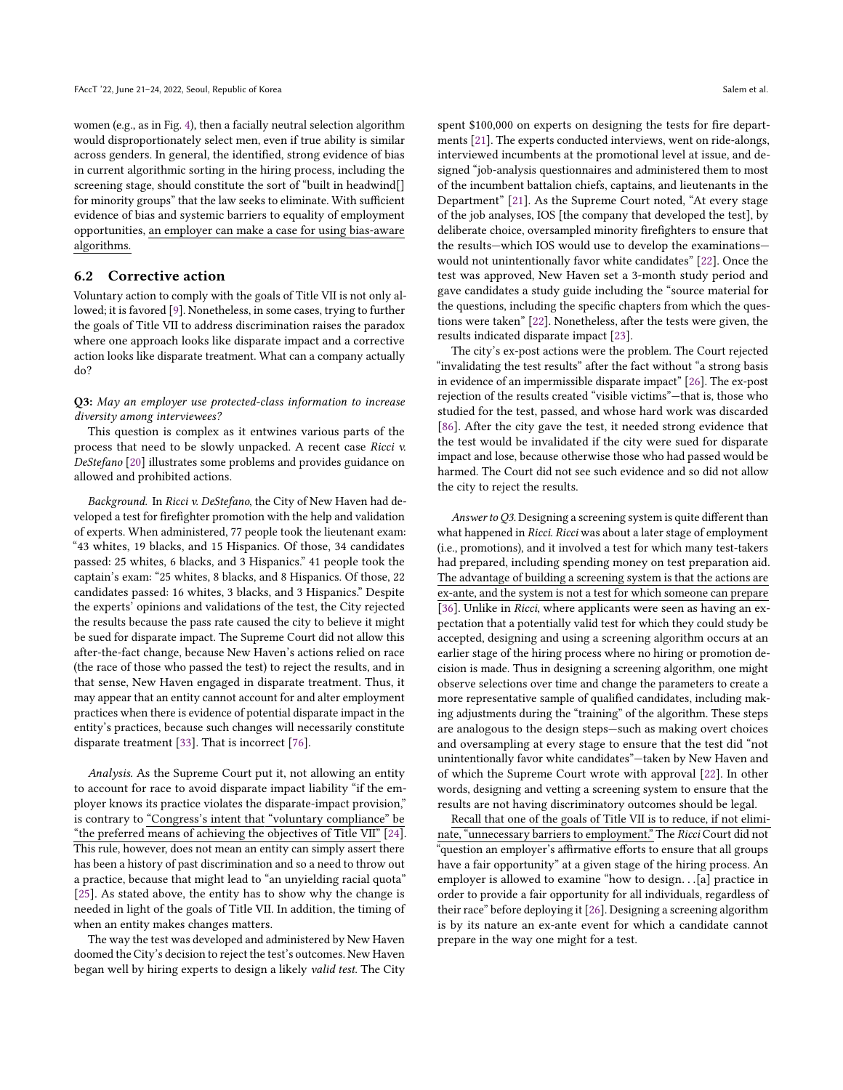women (e.g., as in Fig. [4\)](#page-14-0), then a facially neutral selection algorithm would disproportionately select men, even if true ability is similar across genders. In general, the identified, strong evidence of bias in current algorithmic sorting in the hiring process, including the screening stage, should constitute the sort of "built in headwind[] for minority groups" that the law seeks to eliminate. With sufficient evidence of bias and systemic barriers to equality of employment opportunities, an employer can make a case for using bias-aware algorithms.

### <span id="page-7-0"></span>6.2 Corrective action

Voluntary action to comply with the goals of Title VII is not only allowed; it is favored [\[9\]](#page-10-47). Nonetheless, in some cases, trying to further the goals of Title VII to address discrimination raises the paradox where one approach looks like disparate impact and a corrective action looks like disparate treatment. What can a company actually do?

### Q3: May an employer use protected-class information to increase diversity among interviewees?

This question is complex as it entwines various parts of the process that need to be slowly unpacked. A recent case Ricci v. DeStefano [\[20\]](#page-10-48) illustrates some problems and provides guidance on allowed and prohibited actions.

Background. In Ricci v. DeStefano, the City of New Haven had developed a test for firefighter promotion with the help and validation of experts. When administered, 77 people took the lieutenant exam: "43 whites, 19 blacks, and 15 Hispanics. Of those, 34 candidates passed: 25 whites, 6 blacks, and 3 Hispanics." 41 people took the captain's exam: "25 whites, 8 blacks, and 8 Hispanics. Of those, 22 candidates passed: 16 whites, 3 blacks, and 3 Hispanics." Despite the experts' opinions and validations of the test, the City rejected the results because the pass rate caused the city to believe it might be sued for disparate impact. The Supreme Court did not allow this after-the-fact change, because New Haven's actions relied on race (the race of those who passed the test) to reject the results, and in that sense, New Haven engaged in disparate treatment. Thus, it may appear that an entity cannot account for and alter employment practices when there is evidence of potential disparate impact in the entity's practices, because such changes will necessarily constitute disparate treatment [\[33\]](#page-10-16). That is incorrect [\[76\]](#page-11-31).

Analysis. As the Supreme Court put it, not allowing an entity to account for race to avoid disparate impact liability "if the employer knows its practice violates the disparate-impact provision," is contrary to "Congress's intent that "voluntary compliance" be "the preferred means of achieving the objectives of Title VII" [\[24\]](#page-10-49). This rule, however, does not mean an entity can simply assert there has been a history of past discrimination and so a need to throw out a practice, because that might lead to "an unyielding racial quota" [\[25\]](#page-10-50). As stated above, the entity has to show why the change is needed in light of the goals of Title VII. In addition, the timing of when an entity makes changes matters.

The way the test was developed and administered by New Haven doomed the City's decision to reject the test's outcomes. New Haven began well by hiring experts to design a likely valid test. The City spent \$100,000 on experts on designing the tests for fire departments [\[21\]](#page-10-51). The experts conducted interviews, went on ride-alongs, interviewed incumbents at the promotional level at issue, and designed "job-analysis questionnaires and administered them to most of the incumbent battalion chiefs, captains, and lieutenants in the Department" [\[21\]](#page-10-51). As the Supreme Court noted, "At every stage of the job analyses, IOS [the company that developed the test], by deliberate choice, oversampled minority firefighters to ensure that the results—which IOS would use to develop the examinations would not unintentionally favor white candidates" [\[22\]](#page-10-52). Once the test was approved, New Haven set a 3-month study period and gave candidates a study guide including the "source material for the questions, including the specific chapters from which the questions were taken" [\[22\]](#page-10-52). Nonetheless, after the tests were given, the results indicated disparate impact [\[23\]](#page-10-53).

The city's ex-post actions were the problem. The Court rejected "invalidating the test results" after the fact without "a strong basis in evidence of an impermissible disparate impact" [\[26\]](#page-10-54). The ex-post rejection of the results created "visible victims"—that is, those who studied for the test, passed, and whose hard work was discarded [\[86\]](#page-11-3). After the city gave the test, it needed strong evidence that the test would be invalidated if the city were sued for disparate impact and lose, because otherwise those who had passed would be harmed. The Court did not see such evidence and so did not allow the city to reject the results.

Answer to Q3. Designing a screening system is quite different than what happened in Ricci. Ricci was about a later stage of employment (i.e., promotions), and it involved a test for which many test-takers had prepared, including spending money on test preparation aid. The advantage of building a screening system is that the actions are ex-ante, and the system is not a test for which someone can prepare [\[36\]](#page-10-8). Unlike in Ricci, where applicants were seen as having an expectation that a potentially valid test for which they could study be accepted, designing and using a screening algorithm occurs at an earlier stage of the hiring process where no hiring or promotion decision is made. Thus in designing a screening algorithm, one might observe selections over time and change the parameters to create a more representative sample of qualified candidates, including making adjustments during the "training" of the algorithm. These steps are analogous to the design steps—such as making overt choices and oversampling at every stage to ensure that the test did "not unintentionally favor white candidates"—taken by New Haven and of which the Supreme Court wrote with approval [\[22\]](#page-10-52). In other words, designing and vetting a screening system to ensure that the results are not having discriminatory outcomes should be legal.

Recall that one of the goals of Title VII is to reduce, if not eliminate, "unnecessary barriers to employment." The Ricci Court did not "question an employer's affirmative efforts to ensure that all groups have a fair opportunity" at a given stage of the hiring process. An employer is allowed to examine "how to design. . .[a] practice in order to provide a fair opportunity for all individuals, regardless of their race" before deploying it [\[26\]](#page-10-54). Designing a screening algorithm is by its nature an ex-ante event for which a candidate cannot prepare in the way one might for a test.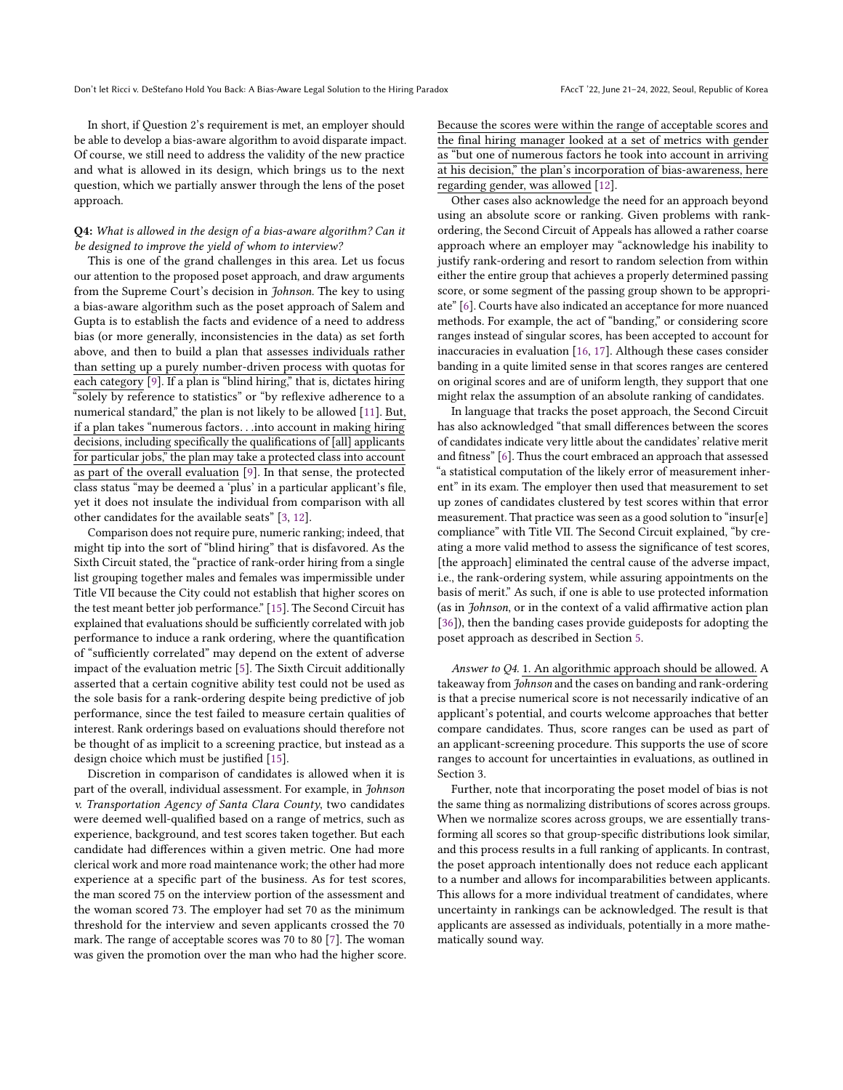In short, if Question 2's requirement is met, an employer should be able to develop a bias-aware algorithm to avoid disparate impact. Of course, we still need to address the validity of the new practice and what is allowed in its design, which brings us to the next question, which we partially answer through the lens of the poset approach.

#### Q4: What is allowed in the design of a bias-aware algorithm? Can it be designed to improve the yield of whom to interview?

This is one of the grand challenges in this area. Let us focus our attention to the proposed poset approach, and draw arguments from the Supreme Court's decision in Johnson. The key to using a bias-aware algorithm such as the poset approach of Salem and Gupta is to establish the facts and evidence of a need to address bias (or more generally, inconsistencies in the data) as set forth above, and then to build a plan that assesses individuals rather than setting up a purely number-driven process with quotas for each category [\[9\]](#page-10-47). If a plan is "blind hiring," that is, dictates hiring "solely by reference to statistics" or "by reflexive adherence to a numerical standard," the plan is not likely to be allowed [\[11\]](#page-10-55). But, if <sup>a</sup> plan takes "numerous factors. . .into account in making hiring decisions, including specifically the qualifications of [all] applicants for particular jobs," the plan may take a protected class into account as part of the overall evaluation [\[9\]](#page-10-47). In that sense, the protected class status "may be deemed a 'plus' in a particular applicant's file, yet it does not insulate the individual from comparison with all other candidates for the available seats" [\[3,](#page-10-56) [12\]](#page-10-57).

Comparison does not require pure, numeric ranking; indeed, that might tip into the sort of "blind hiring" that is disfavored. As the Sixth Circuit stated, the "practice of rank-order hiring from a single list grouping together males and females was impermissible under Title VII because the City could not establish that higher scores on the test meant better job performance." [\[15\]](#page-10-58). The Second Circuit has explained that evaluations should be sufficiently correlated with job performance to induce a rank ordering, where the quantification of "sufficiently correlated" may depend on the extent of adverse impact of the evaluation metric [\[5\]](#page-10-59). The Sixth Circuit additionally asserted that a certain cognitive ability test could not be used as the sole basis for a rank-ordering despite being predictive of job performance, since the test failed to measure certain qualities of interest. Rank orderings based on evaluations should therefore not be thought of as implicit to a screening practice, but instead as a design choice which must be justified [\[15\]](#page-10-58).

Discretion in comparison of candidates is allowed when it is part of the overall, individual assessment. For example, in Johnson v. Transportation Agency of Santa Clara County, two candidates were deemed well-qualified based on a range of metrics, such as experience, background, and test scores taken together. But each candidate had differences within a given metric. One had more clerical work and more road maintenance work; the other had more experience at a specific part of the business. As for test scores, the man scored 75 on the interview portion of the assessment and the woman scored 73. The employer had set 70 as the minimum threshold for the interview and seven applicants crossed the 70 mark. The range of acceptable scores was 70 to 80 [\[7\]](#page-10-60). The woman was given the promotion over the man who had the higher score. Because the scores were within the range of acceptable scores and the final hiring manager looked at a set of metrics with gender as "but one of numerous factors he took into account in arriving at his decision," the plan's incorporation of bias-awareness, here regarding gender, was allowed [\[12\]](#page-10-57).

Other cases also acknowledge the need for an approach beyond using an absolute score or ranking. Given problems with rankordering, the Second Circuit of Appeals has allowed a rather coarse approach where an employer may "acknowledge his inability to justify rank-ordering and resort to random selection from within either the entire group that achieves a properly determined passing score, or some segment of the passing group shown to be appropriate" [\[6\]](#page-10-61). Courts have also indicated an acceptance for more nuanced methods. For example, the act of "banding," or considering score ranges instead of singular scores, has been accepted to account for inaccuracies in evaluation [\[16,](#page-10-62) [17\]](#page-10-63). Although these cases consider banding in a quite limited sense in that scores ranges are centered on original scores and are of uniform length, they support that one might relax the assumption of an absolute ranking of candidates.

In language that tracks the poset approach, the Second Circuit has also acknowledged "that small differences between the scores of candidates indicate very little about the candidates' relative merit and fitness" [\[6\]](#page-10-61). Thus the court embraced an approach that assessed "a statistical computation of the likely error of measurement inherent" in its exam. The employer then used that measurement to set up zones of candidates clustered by test scores within that error measurement. That practice was seen as a good solution to "insur[e] compliance" with Title VII. The Second Circuit explained, "by creating a more valid method to assess the significance of test scores, [the approach] eliminated the central cause of the adverse impact, i.e., the rank-ordering system, while assuring appointments on the basis of merit." As such, if one is able to use protected information (as in Johnson, or in the context of a valid affirmative action plan [\[36\]](#page-10-8)), then the banding cases provide guideposts for adopting the poset approach as described in Section [5.](#page-3-2)

Answer to Q4. 1. An algorithmic approach should be allowed. A takeaway from Johnson and the cases on banding and rank-ordering is that a precise numerical score is not necessarily indicative of an applicant's potential, and courts welcome approaches that better compare candidates. Thus, score ranges can be used as part of an applicant-screening procedure. This supports the use of score ranges to account for uncertainties in evaluations, as outlined in Section 3.

Further, note that incorporating the poset model of bias is not the same thing as normalizing distributions of scores across groups. When we normalize scores across groups, we are essentially transforming all scores so that group-specific distributions look similar, and this process results in a full ranking of applicants. In contrast, the poset approach intentionally does not reduce each applicant to a number and allows for incomparabilities between applicants. This allows for a more individual treatment of candidates, where uncertainty in rankings can be acknowledged. The result is that applicants are assessed as individuals, potentially in a more mathematically sound way.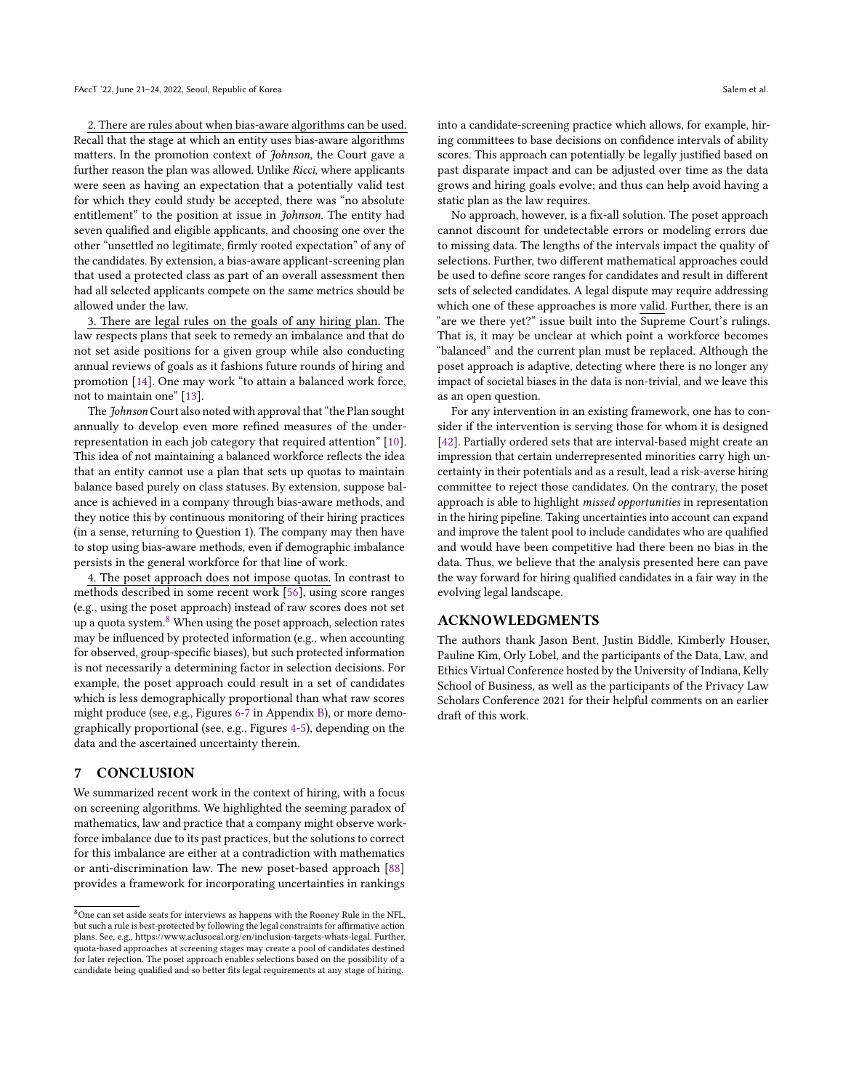2. There are rules about when bias-aware algorithms can be used. Recall that the stage at which an entity uses bias-aware algorithms matters. In the promotion context of *Johnson*, the Court gave a further reason the plan was allowed. Unlike Ricci, where applicants were seen as having an expectation that a potentially valid test for which they could study be accepted, there was "no absolute entitlement" to the position at issue in Johnson. The entity had seven qualified and eligible applicants, and choosing one over the other "unsettled no legitimate, firmly rooted expectation" of any of the candidates. By extension, a bias-aware applicant-screening plan that used a protected class as part of an overall assessment then had all selected applicants compete on the same metrics should be allowed under the law.

3. There are legal rules on the goals of any hiring plan. The law respects plans that seek to remedy an imbalance and that do not set aside positions for a given group while also conducting annual reviews of goals as it fashions future rounds of hiring and promotion [\[14\]](#page-10-64). One may work "to attain a balanced work force, not to maintain one" [\[13\]](#page-10-65).

The Johnson Court also noted with approval that "the Plan sought annually to develop even more refined measures of the underrepresentation in each job category that required attention" [\[10\]](#page-10-66). This idea of not maintaining a balanced workforce reflects the idea that an entity cannot use a plan that sets up quotas to maintain balance based purely on class statuses. By extension, suppose balance is achieved in a company through bias-aware methods, and they notice this by continuous monitoring of their hiring practices (in a sense, returning to Question 1). The company may then have to stop using bias-aware methods, even if demographic imbalance persists in the general workforce for that line of work.

4. The poset approach does not impose quotas. In contrast to methods described in some recent work [\[56\]](#page-10-33), using score ranges (e.g., using the poset approach) instead of raw scores does not set up a quota system.<sup>[8](#page-9-0)</sup> When using the poset approach, selection rates may be influenced by protected information (e.g., when accounting for observed, group-specific biases), but such protected information is not necessarily a determining factor in selection decisions. For example, the poset approach could result in a set of candidates which is less demographically proportional than what raw scores might produce (see, e.g., Figures [6-](#page-15-1)[7](#page-15-2) in Appendix [B\)](#page-13-0), or more demographically proportional (see, e.g., Figures [4](#page-14-0)[-5\)](#page-14-1), depending on the data and the ascertained uncertainty therein.

### 7 CONCLUSION

We summarized recent work in the context of hiring, with a focus on screening algorithms. We highlighted the seeming paradox of mathematics, law and practice that a company might observe workforce imbalance due to its past practices, but the solutions to correct for this imbalance are either at a contradiction with mathematics or anti-discrimination law. The new poset-based approach [\[88\]](#page-11-19) provides a framework for incorporating uncertainties in rankings

into a candidate-screening practice which allows, for example, hiring committees to base decisions on confidence intervals of ability scores. This approach can potentially be legally justified based on past disparate impact and can be adjusted over time as the data grows and hiring goals evolve; and thus can help avoid having a static plan as the law requires.

No approach, however, is a fix-all solution. The poset approach cannot discount for undetectable errors or modeling errors due to missing data. The lengths of the intervals impact the quality of selections. Further, two different mathematical approaches could be used to define score ranges for candidates and result in different sets of selected candidates. A legal dispute may require addressing which one of these approaches is more valid. Further, there is an "are we there yet?" issue built into the Supreme Court's rulings. That is, it may be unclear at which point a workforce becomes "balanced" and the current plan must be replaced. Although the poset approach is adaptive, detecting where there is no longer any impact of societal biases in the data is non-trivial, and we leave this as an open question.

For any intervention in an existing framework, one has to consider if the intervention is serving those for whom it is designed [\[42\]](#page-10-67). Partially ordered sets that are interval-based might create an impression that certain underrepresented minorities carry high uncertainty in their potentials and as a result, lead a risk-averse hiring committee to reject those candidates. On the contrary, the poset approach is able to highlight missed opportunities in representation in the hiring pipeline. Taking uncertainties into account can expand and improve the talent pool to include candidates who are qualified and would have been competitive had there been no bias in the data. Thus, we believe that the analysis presented here can pave the way forward for hiring qualified candidates in a fair way in the evolving legal landscape.

# ACKNOWLEDGMENTS

The authors thank Jason Bent, Justin Biddle, Kimberly Houser, Pauline Kim, Orly Lobel, and the participants of the Data, Law, and Ethics Virtual Conference hosted by the University of Indiana, Kelly School of Business, as well as the participants of the Privacy Law Scholars Conference 2021 for their helpful comments on an earlier draft of this work.

<span id="page-9-0"></span> $8$ One can set aside seats for interviews as happens with the Rooney Rule in the NFL, but such a rule is best-protected by following the legal constraints for affirmative action plans. See, e.g., https://www.aclusocal.org/en/inclusion-targets-whats-legal. Further, quota-based approaches at screening stages may create a pool of candidates destined for later rejection. The poset approach enables selections based on the possibility of a candidate being qualified and so better fits legal requirements at any stage of hiring.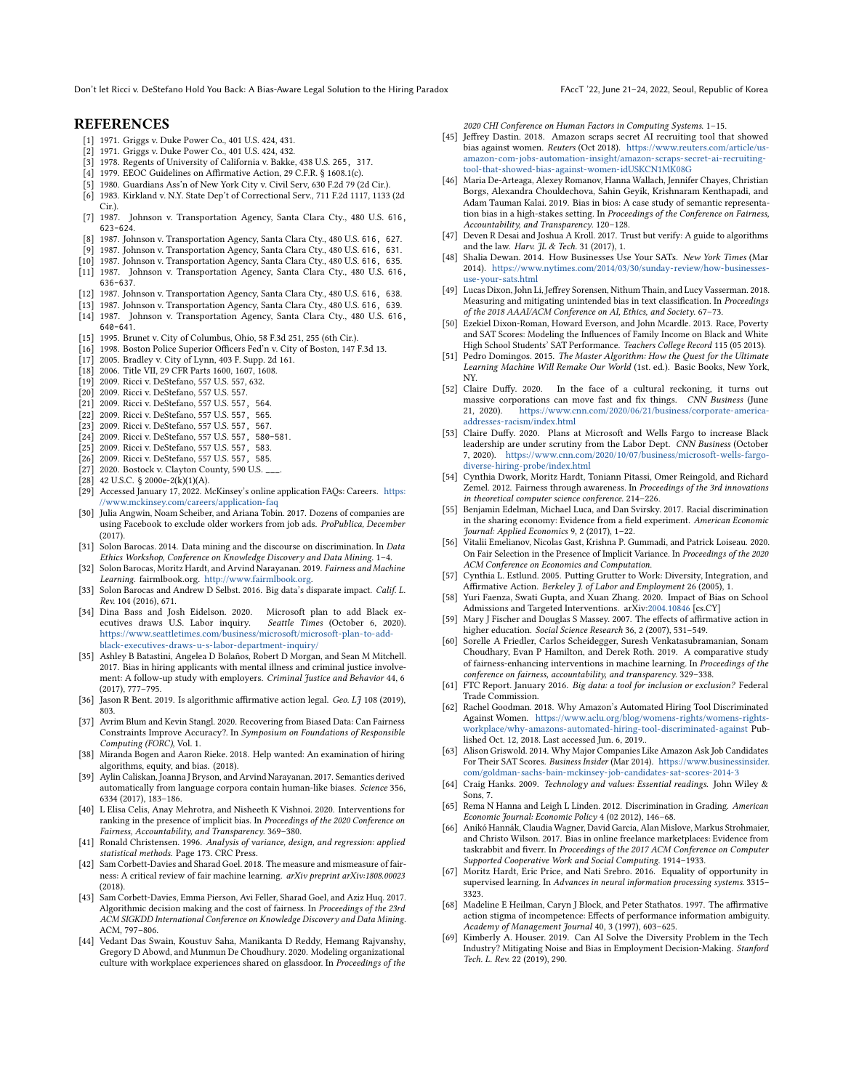Don't let Ricci v. DeStefano Hold You Back: A Bias-Aware Legal Solution to the Hiring Paradox FAccT '22, June 21-24, 2022, Seoul, Republic of Korea

### **REFERENCES**

- <span id="page-10-43"></span>[1] 1971. Griggs v. Duke Power Co., 401 U.S. 424, 431.
- <span id="page-10-42"></span>1971. Griggs v. Duke Power Co., 401 U.S. 424, 432.
- <span id="page-10-56"></span>[3] 1978. Regents of University of California v. Bakke, 438 U.S. 265, 317.
- <span id="page-10-5"></span>[4] 1979. EEOC Guidelines on Affirmative Action, 29 C.F.R. § 1608.1(c).
- <span id="page-10-59"></span>[5] 1980. Guardians Ass'n of New York City v. Civil Serv, 630 F.2d 79 (2d Cir.).
- <span id="page-10-61"></span>[6] 1983. Kirkland v. N.Y. State Dep't of Correctional Serv., 711 F.2d 1117, 1133 (2d
- <span id="page-10-60"></span>Cir.).<br>[7] 1987. Johnson v. Transportation Agency, Santa Clara Cty., 480 U.S. 616, 623-624.
- <span id="page-10-45"></span>1987. Johnson v. Transportation Agency, Santa Clara Cty., 480 U.S. 616, 627.
- <span id="page-10-47"></span>[9] 1987. Johnson v. Transportation Agency, Santa Clara Cty., 480 U.S. 616, 631.
- <span id="page-10-66"></span>[10] 1987. Johnson v. Transportation Agency, Santa Clara Cty., 480 U.S. 616, 635.
- <span id="page-10-55"></span>[11] 1987. Johnson v. Transportation Agency, Santa Clara Cty., 480 U.S. 616, 636-637.
- <span id="page-10-57"></span>[12] 1987. Johnson v. Transportation Agency, Santa Clara Cty., 480 U.S. 616, 638.
- <span id="page-10-65"></span>[13] 1987. Johnson v. Transportation Agency, Santa Clara Cty., 480 U.S. 616, 639.
- <span id="page-10-64"></span>[14] 1987. Johnson v. Transportation Agency, Santa Clara Cty., 480 U.S. 616,
- 640-641.
- <span id="page-10-58"></span>[15] 1995. Brunet v. City of Columbus, Ohio, 58 F.3d 251, 255 (6th Cir.).
- <span id="page-10-62"></span>[16] 1998. Boston Police Superior Officers Fed'n v. City of Boston, 147 F.3d 13.
- <span id="page-10-63"></span><span id="page-10-4"></span>[17] 2005. Bradley v. City of Lynn, 403 F. Supp. 2d 161. [18] 2006. Title VII, 29 CFR Parts 1600, 1607, 1608.
- <span id="page-10-44"></span>[19] 2009. Ricci v. DeStefano, 557 U.S. 557, 632.
- <span id="page-10-48"></span>[20] 2009. Ricci v. DeStefano, 557 U.S. 557.
- 
- <span id="page-10-51"></span>[21] 2009. Ricci v. DeStefano, 557 U.S. 557, 564.
- <span id="page-10-52"></span>[22] 2009. Ricci v. DeStefano, 557 U.S. 557, 565.
- <span id="page-10-53"></span>[23] 2009. Ricci v. DeStefano, 557 U.S. 557, 567.
- <span id="page-10-49"></span>[24] 2009. Ricci v. DeStefano, 557 U.S. 557, 580-581.
- <span id="page-10-50"></span>[25] 2009. Ricci v. DeStefano, 557 U.S. 557, 583.
- <span id="page-10-54"></span>[26] 2009. Ricci v. DeStefano, 557 U.S. 557, 585.
- <span id="page-10-41"></span>[27] 2020. Bostock v. Clayton County, 590 U.S. \_
- <span id="page-10-39"></span>[28] 42 U.S.C. § 2000e-2(k)(1)(A).
- <span id="page-10-24"></span>[29] Accessed January 17, 2022. McKinsey's online application FAQs: Careers. [https:](https://www.mckinsey.com/careers/application-faq) [//www.mckinsey.com/careers/application-faq](https://www.mckinsey.com/careers/application-faq)
- <span id="page-10-9"></span>[30] Julia Angwin, Noam Scheiber, and Ariana Tobin. 2017. Dozens of companies are using Facebook to exclude older workers from job ads. ProPublica, December (2017).
- <span id="page-10-20"></span>[31] Solon Barocas. 2014. Data mining and the discourse on discrimination. In Data Ethics Workshop, Conference on Knowledge Discovery and Data Mining. 1–4.
- <span id="page-10-21"></span>[32] Solon Barocas, Moritz Hardt, and Arvind Narayanan. 2019. Fairness and Machine Learning. fairmlbook.org. [http://www.fairmlbook.org.](http://www.fairmlbook.org)
- <span id="page-10-16"></span>[33] Solon Barocas and Andrew D Selbst. 2016. Big data's disparate impact. Calif. L. Rev. 104 (2016), 671.
- <span id="page-10-2"></span>[34] Dina Bass and Josh Eidelson. 2020. Microsoft plan to add Black executives draws U.S. Labor inquiry. Seattle Times (October 6, 2020). [https://www.seattletimes.com/business/microsoft/microsoft-plan-to-add](https://www.seattletimes.com/business/microsoft/microsoft-plan-to-add-black-executives-draws-u-s-labor-department-inquiry/)[black-executives-draws-u-s-labor-department-inquiry/](https://www.seattletimes.com/business/microsoft/microsoft-plan-to-add-black-executives-draws-u-s-labor-department-inquiry/)
- <span id="page-10-13"></span>[35] Ashley B Batastini, Angelea D Bolaños, Robert D Morgan, and Sean M Mitchell. 2017. Bias in hiring applicants with mental illness and criminal justice involvement: A follow-up study with employers. Criminal Justice and Behavior 44, 6 (2017), 777–795.
- <span id="page-10-8"></span>[36] Jason R Bent. 2019. Is algorithmic affirmative action legal. Geo. LJ 108 (2019), 803.
- <span id="page-10-35"></span>[37] Avrim Blum and Kevin Stangl. 2020. Recovering from Biased Data: Can Fairness Constraints Improve Accuracy?. In Symposium on Foundations of Responsible Computing (FORC), Vol. 1.
- <span id="page-10-18"></span>[38] Miranda Bogen and Aaron Rieke. 2018. Help wanted: An examination of hiring algorithms, equity, and bias. (2018).
- <span id="page-10-17"></span>[39] Aylin Caliskan, Joanna J Bryson, and Arvind Narayanan. 2017. Semantics derived automatically from language corpora contain human-like biases. Science 356, 6334 (2017), 183–186.
- <span id="page-10-36"></span>[40] L Elisa Celis, Anay Mehrotra, and Nisheeth K Vishnoi. 2020. Interventions for ranking in the presence of implicit bias. In Proceedings of the 2020 Conference on Fairness, Accountability, and Transparency. 369–380.
- <span id="page-10-68"></span>[41] Ronald Christensen. 1996. Analysis of variance, design, and regression: applied statistical methods. Page 173. CRC Press.
- <span id="page-10-67"></span>[42] Sam Corbett-Davies and Sharad Goel. 2018. The measure and mismeasure of fairness: A critical review of fair machine learning. arXiv preprint arXiv:1808.00023 (2018).
- <span id="page-10-34"></span>[43] Sam Corbett-Davies, Emma Pierson, Avi Feller, Sharad Goel, and Aziz Huq. 2017. Algorithmic decision making and the cost of fairness. In Proceedings of the 23rd ACM SIGKDD International Conference on Knowledge Discovery and Data Mining. ACM, 797–806.
- <span id="page-10-14"></span>[44] Vedant Das Swain, Koustuv Saha, Manikanta D Reddy, Hemang Rajvanshy, Gregory D Abowd, and Munmun De Choudhury. 2020. Modeling organizational culture with workplace experiences shared on glassdoor. In Proceedings of the

2020 CHI Conference on Human Factors in Computing Systems. 1–15.

- <span id="page-10-23"></span>[45] Jeffrey Dastin. 2018. Amazon scraps secret AI recruiting tool that showed bias against women. Reuters (Oct 2018). [https://www.reuters.com/article/us](https://www.reuters.com/article/us-amazon-com-jobs-automation-insight/amazon-scraps-secret-ai-recruiting-tool-that-showed-bias-against-women-idUSKCN1MK08G)[amazon-com-jobs-automation-insight/amazon-scraps-secret-ai-recruiting](https://www.reuters.com/article/us-amazon-com-jobs-automation-insight/amazon-scraps-secret-ai-recruiting-tool-that-showed-bias-against-women-idUSKCN1MK08G)[tool-that-showed-bias-against-women-idUSKCN1MK08G](https://www.reuters.com/article/us-amazon-com-jobs-automation-insight/amazon-scraps-secret-ai-recruiting-tool-that-showed-bias-against-women-idUSKCN1MK08G)
- <span id="page-10-31"></span>[46] Maria De-Arteaga, Alexey Romanov, Hanna Wallach, Jennifer Chayes, Christian Borgs, Alexandra Chouldechova, Sahin Geyik, Krishnaram Kenthapadi, and Adam Tauman Kalai. 2019. Bias in bios: A case study of semantic representation bias in a high-stakes setting. In Proceedings of the Conference on Fairness, Accountability, and Transparency. 120–128.
- <span id="page-10-7"></span>[47] Deven R Desai and Joshua A Kroll. 2017. Trust but verify: A guide to algorithms and the law. Harv. IL & Tech. 31 (2017), 1.
- <span id="page-10-25"></span>[48] Shalia Dewan. 2014. How Businesses Use Your SATs. New York Times (Mar 2014). [https://www.nytimes.com/2014/03/30/sunday-review/how-businesses](https://www.nytimes.com/2014/03/30/sunday-review/how-businesses-use-your-sats.html)[use-your-sats.html](https://www.nytimes.com/2014/03/30/sunday-review/how-businesses-use-your-sats.html)
- <span id="page-10-11"></span>[49] Lucas Dixon, John Li, Jeffrey Sorensen, Nithum Thain, and Lucy Vasserman. 2018. Measuring and mitigating unintended bias in text classification. In Proceedings of the 2018 AAAI/ACM Conference on AI, Ethics, and Society. 67–73.
- <span id="page-10-27"></span>[50] Ezekiel Dixon-Roman, Howard Everson, and John Mcardle. 2013. Race, Poverty and SAT Scores: Modeling the Influences of Family Income on Black and White High School Students' SAT Performance. Teachers College Record 115 (05 2013).
- <span id="page-10-6"></span>[51] Pedro Domingos. 2015. The Master Algorithm: How the Quest for the Ultimate Learning Machine Will Remake Our World (1st. ed.). Basic Books, New York, NY.
- <span id="page-10-0"></span>[52] Claire Duffy. 2020. In the face of a cultural reckoning, it turns out massive corporations can move fast and fix things. CNN Business (June 21, 2020). [https://www.cnn.com/2020/06/21/business/corporate-america](https://www.cnn.com/2020/06/21/business/corporate-america-addresses-racism/index.html)[addresses-racism/index.html](https://www.cnn.com/2020/06/21/business/corporate-america-addresses-racism/index.html)
- <span id="page-10-1"></span>[53] Claire Duffy. 2020. Plans at Microsoft and Wells Fargo to increase Black leadership are under scrutiny from the Labor Dept. CNN Business (October 7, 2020). [https://www.cnn.com/2020/10/07/business/microsoft-wells-fargo](https://www.cnn.com/2020/10/07/business/microsoft-wells-fargo-diverse-hiring-probe/index.html)[diverse-hiring-probe/index.html](https://www.cnn.com/2020/10/07/business/microsoft-wells-fargo-diverse-hiring-probe/index.html)
- <span id="page-10-32"></span>[54] Cynthia Dwork, Moritz Hardt, Toniann Pitassi, Omer Reingold, and Richard Zemel. 2012. Fairness through awareness. In Proceedings of the 3rd innovations in theoretical computer science conference. 214–226.
- <span id="page-10-19"></span>[55] Benjamin Edelman, Michael Luca, and Dan Svirsky. 2017. Racial discrimination in the sharing economy: Evidence from a field experiment. American Economic Journal: Applied Economics 9, 2 (2017), 1–22.
- <span id="page-10-33"></span>[56] Vitalii Emelianov, Nicolas Gast, Krishna P. Gummadi, and Patrick Loiseau. 2020. On Fair Selection in the Presence of Implicit Variance. In Proceedings of the 2020 ACM Conference on Economics and Computation.
- <span id="page-10-3"></span>[57] Cynthia L. Estlund. 2005. Putting Grutter to Work: Diversity, Integration, and Affirmative Action. Berkeley J. of Labor and Employment 26 (2005), 1.
- <span id="page-10-28"></span>[58] Yuri Faenza, Swati Gupta, and Xuan Zhang. 2020. Impact of Bias on School Admissions and Targeted Interventions. arXiv[:2004.10846](https://arxiv.org/abs/2004.10846) [cs.CY]
- <span id="page-10-37"></span>[59] Mary J Fischer and Douglas S Massey. 2007. The effects of affirmative action in higher education. Social Science Research 36, 2 (2007), 531–549.
- <span id="page-10-29"></span>[60] Sorelle A Friedler, Carlos Scheidegger, Suresh Venkatasubramanian, Sonam Choudhary, Evan P Hamilton, and Derek Roth. 2019. A comparative study of fairness-enhancing interventions in machine learning. In Proceedings of the conference on fairness, accountability, and transparency. 329–338.
- <span id="page-10-40"></span>[61] FTC Report. January 2016. Big data: a tool for inclusion or exclusion? Federal Trade Commission.
- <span id="page-10-10"></span>[62] Rachel Goodman. 2018. Why Amazon's Automated Hiring Tool Discriminated Against Women. [https://www.aclu.org/blog/womens-rights/womens-rights](https://www.aclu.org/blog/womens-rights/womens-rights-workplace/why-amazons-automated-hiring-tool-discriminated-against)[workplace/why-amazons-automated-hiring-tool-discriminated-against](https://www.aclu.org/blog/womens-rights/womens-rights-workplace/why-amazons-automated-hiring-tool-discriminated-against) Published Oct. 12, 2018. Last accessed Jun. 6, 2019..
- <span id="page-10-26"></span>[63] Alison Griswold. 2014. Why Major Companies Like Amazon Ask Job Candidates For Their SAT Scores. Business Insider (Mar 2014). [https://www.businessinsider.](https://www.businessinsider.com/goldman-sachs-bain-mckinsey-job-candidates-sat-scores-2014-3) [com/goldman-sachs-bain-mckinsey-job-candidates-sat-scores-2014-3](https://www.businessinsider.com/goldman-sachs-bain-mckinsey-job-candidates-sat-scores-2014-3)
- <span id="page-10-15"></span>[64] Craig Hanks. 2009. Technology and values: Essential readings. John Wiley & Sons, 7.
- <span id="page-10-22"></span>[65] Rema N Hanna and Leigh L Linden. 2012. Discrimination in Grading. American Economic Journal: Economic Policy 4 (02 2012), 146–68.
- <span id="page-10-12"></span>[66] Anikó Hannák, Claudia Wagner, David Garcia, Alan Mislove, Markus Strohmaier, and Christo Wilson. 2017. Bias in online freelance marketplaces: Evidence from taskrabbit and fiverr. In Proceedings of the 2017 ACM Conference on Computer Supported Cooperative Work and Social Computing. 1914–1933.
- <span id="page-10-30"></span>[67] Moritz Hardt, Eric Price, and Nati Srebro. 2016. Equality of opportunity in supervised learning. In Advances in neural information processing systems. 3315-3323.
- <span id="page-10-38"></span>[68] Madeline E Heilman, Caryn J Block, and Peter Stathatos. 1997. The affirmative action stigma of incompetence: Effects of performance information ambiguity. Academy of Management Journal 40, 3 (1997), 603–625.
- <span id="page-10-46"></span>[69] Kimberly A. Houser. 2019. Can AI Solve the Diversity Problem in the Tech Industry? Mitigating Noise and Bias in Employment Decision-Making. Stanford Tech. L. Rev. 22 (2019), 290.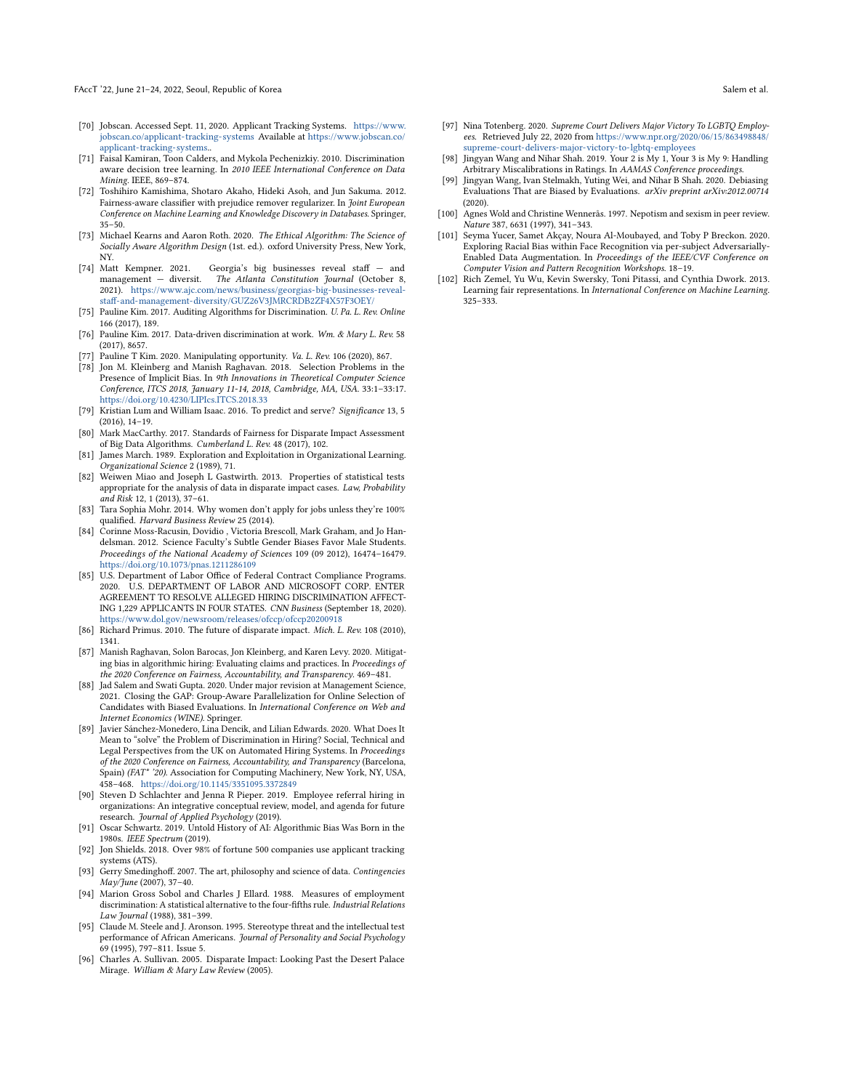- <span id="page-11-13"></span>[70] Jobscan. Accessed Sept. 11, 2020. Applicant Tracking Systems. [https://www.](https://www.jobscan.co/applicant-tracking-systems) [jobscan.co/applicant-tracking-systems](https://www.jobscan.co/applicant-tracking-systems) Available at [https://www.jobscan.co/](https://www.jobscan.co/applicant-tracking-systems) [applicant-tracking-systems.](https://www.jobscan.co/applicant-tracking-systems).
- <span id="page-11-18"></span>[71] Faisal Kamiran, Toon Calders, and Mykola Pechenizkiy. 2010. Discrimination aware decision tree learning. In 2010 IEEE International Conference on Data Mining. IEEE, 869–874.
- <span id="page-11-16"></span>[72] Toshihiro Kamishima, Shotaro Akaho, Hideki Asoh, and Jun Sakuma. 2012. Fairness-aware classifier with prejudice remover regularizer. In Joint European Conference on Machine Learning and Knowledge Discovery in Databases. Springer, 35–50.
- <span id="page-11-11"></span>[73] Michael Kearns and Aaron Roth. 2020. The Ethical Algorithm: The Science of Socially Aware Algorithm Design (1st. ed.). oxford University Press, New York, NY.
- <span id="page-11-28"></span>[74] Matt Kempner. 2021. Georgia's big businesses reveal staff — and management — diversit. The Atlanta Constitution Journal (October 8, 2021). [https://www.ajc.com/news/business/georgias-big-businesses-reveal](https://www.ajc.com/news/business/georgias-big-businesses-reveal-staff-and-management-diversity/GUZ26V3JMRCRDB2ZF4X57F3OEY/)[staff-and-management-diversity/GUZ26V3JMRCRDB2ZF4X57F3OEY/](https://www.ajc.com/news/business/georgias-big-businesses-reveal-staff-and-management-diversity/GUZ26V3JMRCRDB2ZF4X57F3OEY/)
- <span id="page-11-29"></span>[75] Pauline Kim. 2017. Auditing Algorithms for Discrimination. U. Pa. L. Rev. Online 166 (2017), 189.
- <span id="page-11-31"></span>[76] Pauline Kim. 2017. Data-driven discrimination at work. Wm. & Mary L. Rev. 58 (2017), 8657.
- <span id="page-11-6"></span>[77] Pauline T Kim. 2020. Manipulating opportunity. Va. L. Rev. 106 (2020), 867.
- <span id="page-11-2"></span>[78] Jon M. Kleinberg and Manish Raghavan. 2018. Selection Problems in the Presence of Implicit Bias. In 9th Innovations in Theoretical Computer Science Conference, ITCS 2018, January 11-14, 2018, Cambridge, MA, USA. 33:1–33:17. <https://doi.org/10.4230/LIPIcs.ITCS.2018.33>
- <span id="page-11-12"></span>[79] Kristian Lum and William Isaac. 2016. To predict and serve? Significance 13, 5 (2016), 14–19.
- <span id="page-11-30"></span>[80] Mark MacCarthy. 2017. Standards of Fairness for Disparate Impact Assessment of Big Data Algorithms. Cumberland L. Rev. 48 (2017), 102.
- <span id="page-11-1"></span>[81] James March. 1989. Exploration and Exploitation in Organizational Learning. Organizational Science 2 (1989), 71.
- <span id="page-11-25"></span>[82] Weiwen Miao and Joseph L Gastwirth. 2013. Properties of statistical tests appropriate for the analysis of data in disparate impact cases. Law, Probability and Risk 12, 1 (2013), 37–61.
- <span id="page-11-7"></span>[83] Tara Sophia Mohr. 2014. Why women don't apply for jobs unless they're 100% qualified. Harvard Business Review 25 (2014).
- <span id="page-11-10"></span>[84] Corinne Moss-Racusin, Dovidio , Victoria Brescoll, Mark Graham, and Jo Handelsman. 2012. Science Faculty's Subtle Gender Biases Favor Male Students. Proceedings of the National Academy of Sciences 109 (09 2012), 16474–16479. <https://doi.org/10.1073/pnas.1211286109>
- <span id="page-11-0"></span>[85] U.S. Department of Labor Office of Federal Contract Compliance Programs. 2020. U.S. DEPARTMENT OF LABOR AND MICROSOFT CORP. ENTER AGREEMENT TO RESOLVE ALLEGED HIRING DISCRIMINATION AFFECT-ING 1,229 APPLICANTS IN FOUR STATES. CNN Business (September 18, 2020). <https://www.dol.gov/newsroom/releases/ofccp/ofccp20200918>
- <span id="page-11-3"></span>[86] Richard Primus. 2010. The future of disparate impact. Mich. L. Rev. 108 (2010), 1341.
- <span id="page-11-23"></span>[87] Manish Raghavan, Solon Barocas, Jon Kleinberg, and Karen Levy. 2020. Mitigating bias in algorithmic hiring: Evaluating claims and practices. In Proceedings of the 2020 Conference on Fairness, Accountability, and Transparency. 469–481.
- <span id="page-11-19"></span>[88] Jad Salem and Swati Gupta. 2020. Under major revision at Management Science, 2021. Closing the GAP: Group-Aware Parallelization for Online Selection of Candidates with Biased Evaluations. In International Conference on Web and Internet Economics (WINE). Springer.
- <span id="page-11-14"></span>[89] Javier Sánchez-Monedero, Lina Dencik, and Lilian Edwards. 2020. What Does It Mean to "solve" the Problem of Discrimination in Hiring? Social, Technical and Legal Perspectives from the UK on Automated Hiring Systems. In Proceedings of the 2020 Conference on Fairness, Accountability, and Transparency (Barcelona, Spain) (FAT\* '20). Association for Computing Machinery, New York, NY, USA, 458–468. <https://doi.org/10.1145/3351095.3372849>
- <span id="page-11-9"></span>[90] Steven D Schlachter and Jenna R Pieper. 2019. Employee referral hiring in organizations: An integrative conceptual review, model, and agenda for future research. Journal of Applied Psychology (2019).
- <span id="page-11-4"></span>[91] Oscar Schwartz. 2019. Untold History of AI: Algorithmic Bias Was Born in the 1980s. IEEE Spectrum (2019).
- <span id="page-11-5"></span>[92] Jon Shields. 2018. Over 98% of fortune 500 companies use applicant tracking systems (ATS).
- <span id="page-11-32"></span>[93] Gerry Smedinghoff. 2007. The art, philosophy and science of data. Contingencies May/June (2007), 37–40.
- <span id="page-11-26"></span>[94] Marion Gross Sobol and Charles J Ellard. 1988. Measures of employment discrimination: A statistical alternative to the four-fifths rule. Industrial Relations Law Journal (1988), 381–399.
- <span id="page-11-15"></span>[95] Claude M. Steele and J. Aronson. 1995. Stereotype threat and the intellectual test performance of African Americans. Journal of Personality and Social Psychology 69 (1995), 797–811. Issue 5.
- <span id="page-11-24"></span>[96] Charles A. Sullivan. 2005. Disparate Impact: Looking Past the Desert Palace Mirage. William & Mary Law Review (2005).
- <span id="page-11-27"></span>[97] Nina Totenberg. 2020. Supreme Court Delivers Major Victory To LGBTQ Employees. Retrieved July 22, 2020 from [https://www.npr.org/2020/06/15/863498848/](https://www.npr.org/2020/06/15/863498848/supreme-court-delivers-major-victory-to-lgbtq-employees) [supreme-court-delivers-major-victory-to-lgbtq-employees](https://www.npr.org/2020/06/15/863498848/supreme-court-delivers-major-victory-to-lgbtq-employees)
- <span id="page-11-20"></span>[98] Jingyan Wang and Nihar Shah. 2019. Your 2 is My 1, Your 3 is My 9: Handling Arbitrary Miscalibrations in Ratings. In AAMAS Conference proceedings.
- <span id="page-11-21"></span>[99] Jingyan Wang, Ivan Stelmakh, Yuting Wei, and Nihar B Shah. 2020. Debiasing Evaluations That are Biased by Evaluations. arXiv preprint arXiv:2012.00714 (2020).
- <span id="page-11-22"></span>[100] Agnes Wold and Christine Wennerås. 1997. Nepotism and sexism in peer review. Nature 387, 6631 (1997), 341–343.
- <span id="page-11-8"></span>[101] Seyma Yucer, Samet Akçay, Noura Al-Moubayed, and Toby P Breckon. 2020. Exploring Racial Bias within Face Recognition via per-subject Adversarially-Enabled Data Augmentation. In Proceedings of the IEEE/CVF Conference on Computer Vision and Pattern Recognition Workshops. 18–19.
- <span id="page-11-17"></span>[102] Rich Zemel, Yu Wu, Kevin Swersky, Toni Pitassi, and Cynthia Dwork. 2013. Learning fair representations. In International Conference on Machine Learning. 325–333.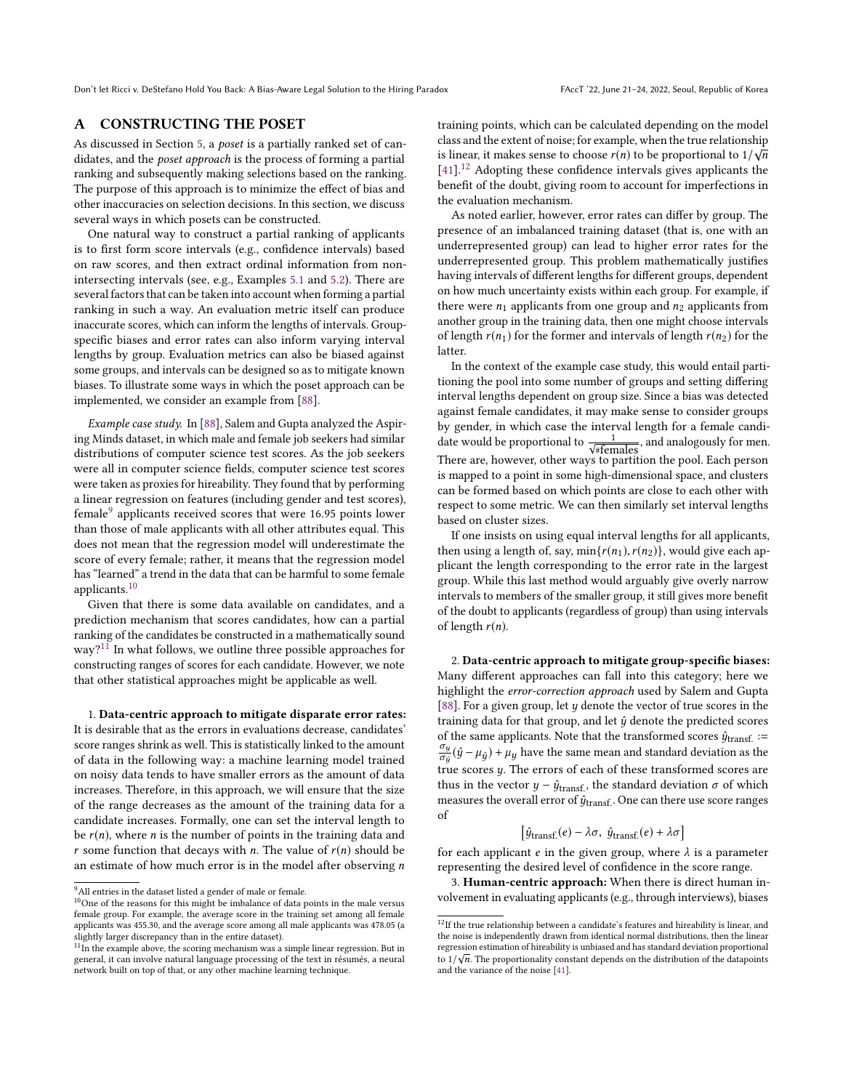# <span id="page-12-0"></span>A CONSTRUCTING THE POSET

As discussed in Section [5,](#page-3-2) a poset is a partially ranked set of candidates, and the poset approach is the process of forming a partial ranking and subsequently making selections based on the ranking. The purpose of this approach is to minimize the effect of bias and other inaccuracies on selection decisions. In this section, we discuss several ways in which posets can be constructed.

One natural way to construct a partial ranking of applicants is to first form score intervals (e.g., confidence intervals) based on raw scores, and then extract ordinal information from nonintersecting intervals (see, e.g., Examples [5.1](#page-4-2) and [5.2\)](#page-4-5). There are several factors that can be taken into account when forming a partial ranking in such a way. An evaluation metric itself can produce inaccurate scores, which can inform the lengths of intervals. Groupspecific biases and error rates can also inform varying interval lengths by group. Evaluation metrics can also be biased against some groups, and intervals can be designed so as to mitigate known biases. To illustrate some ways in which the poset approach can be implemented, we consider an example from [\[88\]](#page-11-19).

Example case study. In [\[88\]](#page-11-19), Salem and Gupta analyzed the Aspiring Minds dataset, in which male and female job seekers had similar distributions of computer science test scores. As the job seekers were all in computer science fields, computer science test scores were taken as proxies for hireability. They found that by performing a linear regression on features (including gender and test scores), female<sup>[9](#page-12-1)</sup> applicants received scores that were 16.95 points lower than those of male applicants with all other attributes equal. This does not mean that the regression model will underestimate the score of every female; rather, it means that the regression model has "learned" a trend in the data that can be harmful to some female applicants.[10](#page-12-2)

Given that there is some data available on candidates, and a prediction mechanism that scores candidates, how can a partial ranking of the candidates be constructed in a mathematically sound  $way?$ <sup>[11](#page-12-3)</sup> In what follows, we outline three possible approaches for constructing ranges of scores for each candidate. However, we note that other statistical approaches might be applicable as well.

1. Data-centric approach to mitigate disparate error rates: It is desirable that as the errors in evaluations decrease, candidates' score ranges shrink as well. This is statistically linked to the amount of data in the following way: a machine learning model trained on noisy data tends to have smaller errors as the amount of data increases. Therefore, in this approach, we will ensure that the size of the range decreases as the amount of the training data for a candidate increases. Formally, one can set the interval length to be  $r(n)$ , where *n* is the number of points in the training data and r some function that decays with n. The value of  $r(n)$  should be an estimate of how much error is in the model after observing  $n$ 

training points, which can be calculated depending on the model class and the extent of noise; for example, when the true relationship class and the extent of holse; for example, when the true relationship<br>is linear, it makes sense to choose  $r(n)$  to be proportional to  $1/\sqrt{10^{11/2}}$ . Adopting these confidence intervals gives applicants the [\[41\]](#page-10-68).<sup>[12](#page-12-4)</sup> Adopting these confidence intervals gives applicants the benefit of the doubt, giving room to account for imperfections in the evaluation mechanism.

As noted earlier, however, error rates can differ by group. The presence of an imbalanced training dataset (that is, one with an underrepresented group) can lead to higher error rates for the underrepresented group. This problem mathematically justifies having intervals of different lengths for different groups, dependent on how much uncertainty exists within each group. For example, if there were  $n_1$  applicants from one group and  $n_2$  applicants from another group in the training data, then one might choose intervals of length  $r(n_1)$  for the former and intervals of length  $r(n_2)$  for the latter.

In the context of the example case study, this would entail partitioning the pool into some number of groups and setting differing interval lengths dependent on group size. Since a bias was detected against female candidates, it may make sense to consider groups by gender, in which case the interval length for a female candidate would be proportional to  $\frac{1}{\sqrt{\# females}}$ , and analogously for men. There are, however, other ways to partition the pool. Each person is mapped to a point in some high-dimensional space, and clusters can be formed based on which points are close to each other with respect to some metric. We can then similarly set interval lengths based on cluster sizes.

If one insists on using equal interval lengths for all applicants, then using a length of, say,  $min{r(n_1), r(n_2)}$ , would give each applicant the length corresponding to the error rate in the largest group. While this last method would arguably give overly narrow intervals to members of the smaller group, it still gives more benefit of the doubt to applicants (regardless of group) than using intervals of length  $r(n)$ .

2. Data-centric approach to mitigate group-specific biases: Many different approaches can fall into this category; here we highlight the error-correction approach used by Salem and Gupta [\[88\]](#page-11-19). For a given group, let  $y$  denote the vector of true scores in the training data for that group, and let  $\hat{y}$  denote the predicted scores of the same applicants. Note that the transformed scores  $\hat{y}_{transf.}$  :=  $\frac{\partial y}{\partial \dot{y}}(\hat{y} - \mu_{\hat{y}}) + \mu_{y}$  have the same mean and standard deviation as the  $\sigma_{ij}$   $\sigma_{ij}$   $\sigma_{ij}$   $\sigma_{ij}$ . The errors of each of these transformed scores are<br>thus in the vector  $u = \hat{u}$ , so the standard deviation  $\sigma$  of which thus in the vector  $y - \hat{y}_{\text{transf.}}$ , the standard deviation  $\sigma$  of which measures the overall error of  $\hat{y}_{\text{transf.}}$ . One can there use score ranges of

$$
\left[\hat{y}_{\text{transf.}}(e) - \lambda \sigma, \ \hat{y}_{\text{transf.}}(e) + \lambda \sigma\right]
$$

for each applicant  $e$  in the given group, where  $\lambda$  is a parameter<br>representing the desired level of confidence in the score range representing the desired level of confidence in the score range.

3. Human-centric approach: When there is direct human involvement in evaluating applicants (e.g., through interviews), biases

<span id="page-12-1"></span> $^9\mathrm{All}$  entries in the dataset listed a gender of male or female.

<span id="page-12-2"></span> $^{10}\mathrm{One}$  of the reasons for this might be imbalance of data points in the male versus female group. For example, the average score in the training set among all female applicants was 455.30, and the average score among all male applicants was 478.05 (a slightly larger discrepancy than in the entire dataset).

<span id="page-12-3"></span> $^{11}{\rm In}$  the example above, the scoring mechanism was a simple linear regression. But in general, it can involve natural language processing of the text in résumés, a neural network built on top of that, or any other machine learning technique.

<span id="page-12-4"></span> $^{12}{\rm If}$  the true relationship between a candidate's features and hireability is linear, and the noise is independently drawn from identical normal distributions, then the linear regression estimation of hireability is unbiased and has standard deviation proportional √ to  $1/\sqrt{n}$ . The proportionality constant depends on the distribution of the datapoints and the variance of the noise [41] and the variance of the noise [\[41\]](#page-10-68).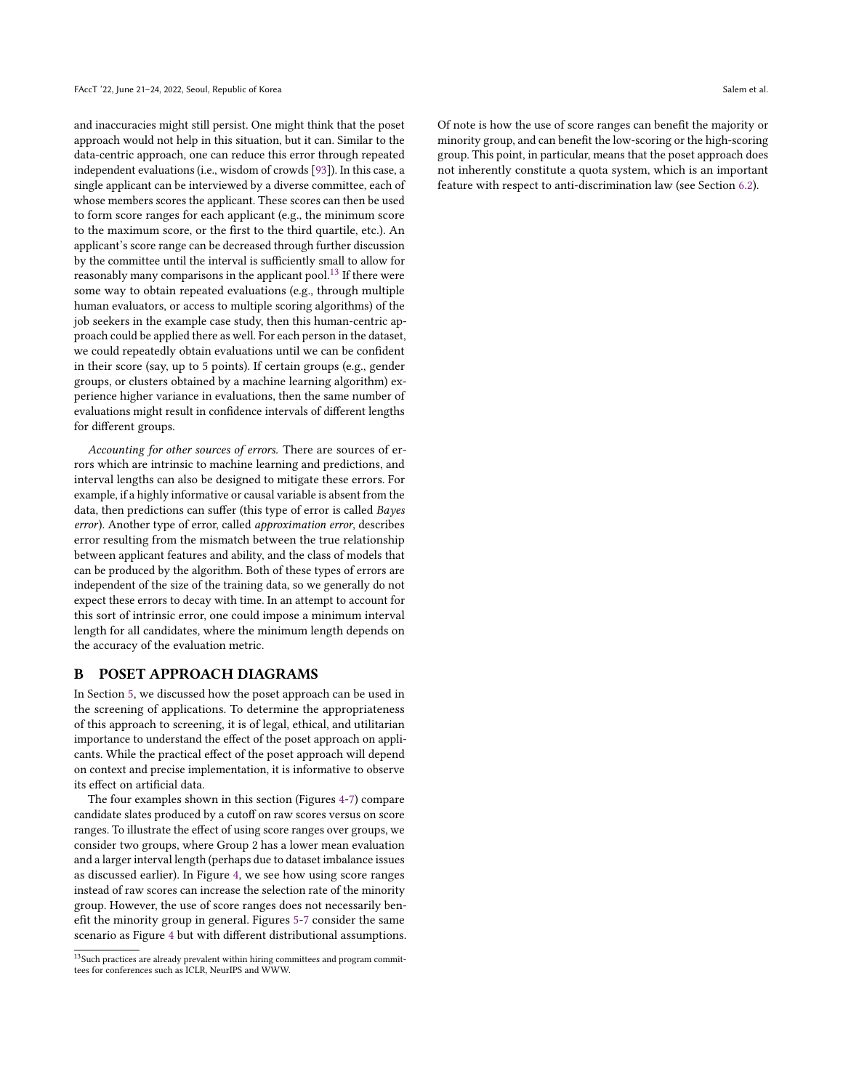and inaccuracies might still persist. One might think that the poset approach would not help in this situation, but it can. Similar to the data-centric approach, one can reduce this error through repeated independent evaluations (i.e., wisdom of crowds [\[93\]](#page-11-32)). In this case, a single applicant can be interviewed by a diverse committee, each of whose members scores the applicant. These scores can then be used to form score ranges for each applicant (e.g., the minimum score to the maximum score, or the first to the third quartile, etc.). An applicant's score range can be decreased through further discussion by the committee until the interval is sufficiently small to allow for reasonably many comparisons in the applicant pool.<sup>[13](#page-13-1)</sup> If there were some way to obtain repeated evaluations (e.g., through multiple human evaluators, or access to multiple scoring algorithms) of the job seekers in the example case study, then this human-centric approach could be applied there as well. For each person in the dataset, we could repeatedly obtain evaluations until we can be confident in their score (say, up to 5 points). If certain groups (e.g., gender groups, or clusters obtained by a machine learning algorithm) experience higher variance in evaluations, then the same number of evaluations might result in confidence intervals of different lengths for different groups.

Accounting for other sources of errors. There are sources of errors which are intrinsic to machine learning and predictions, and interval lengths can also be designed to mitigate these errors. For example, if a highly informative or causal variable is absent from the data, then predictions can suffer (this type of error is called Bayes error). Another type of error, called approximation error, describes error resulting from the mismatch between the true relationship between applicant features and ability, and the class of models that can be produced by the algorithm. Both of these types of errors are independent of the size of the training data, so we generally do not expect these errors to decay with time. In an attempt to account for this sort of intrinsic error, one could impose a minimum interval length for all candidates, where the minimum length depends on the accuracy of the evaluation metric.

## <span id="page-13-0"></span>B POSET APPROACH DIAGRAMS

In Section [5,](#page-3-2) we discussed how the poset approach can be used in the screening of applications. To determine the appropriateness of this approach to screening, it is of legal, ethical, and utilitarian importance to understand the effect of the poset approach on applicants. While the practical effect of the poset approach will depend on context and precise implementation, it is informative to observe its effect on artificial data.

The four examples shown in this section (Figures [4](#page-14-0)[-7\)](#page-15-2) compare candidate slates produced by a cutoff on raw scores versus on score ranges. To illustrate the effect of using score ranges over groups, we consider two groups, where Group 2 has a lower mean evaluation and a larger interval length (perhaps due to dataset imbalance issues as discussed earlier). In Figure [4,](#page-14-0) we see how using score ranges instead of raw scores can increase the selection rate of the minority group. However, the use of score ranges does not necessarily benefit the minority group in general. Figures [5](#page-14-1)[-7](#page-15-2) consider the same scenario as Figure [4](#page-14-0) but with different distributional assumptions. Of note is how the use of score ranges can benefit the majority or minority group, and can benefit the low-scoring or the high-scoring group. This point, in particular, means that the poset approach does not inherently constitute a quota system, which is an important feature with respect to anti-discrimination law (see Section [6.2\)](#page-7-0).

<span id="page-13-1"></span> $^{13}$  Such practices are already prevalent within hiring committees and program committees for conferences such as ICLR, NeurIPS and WWW.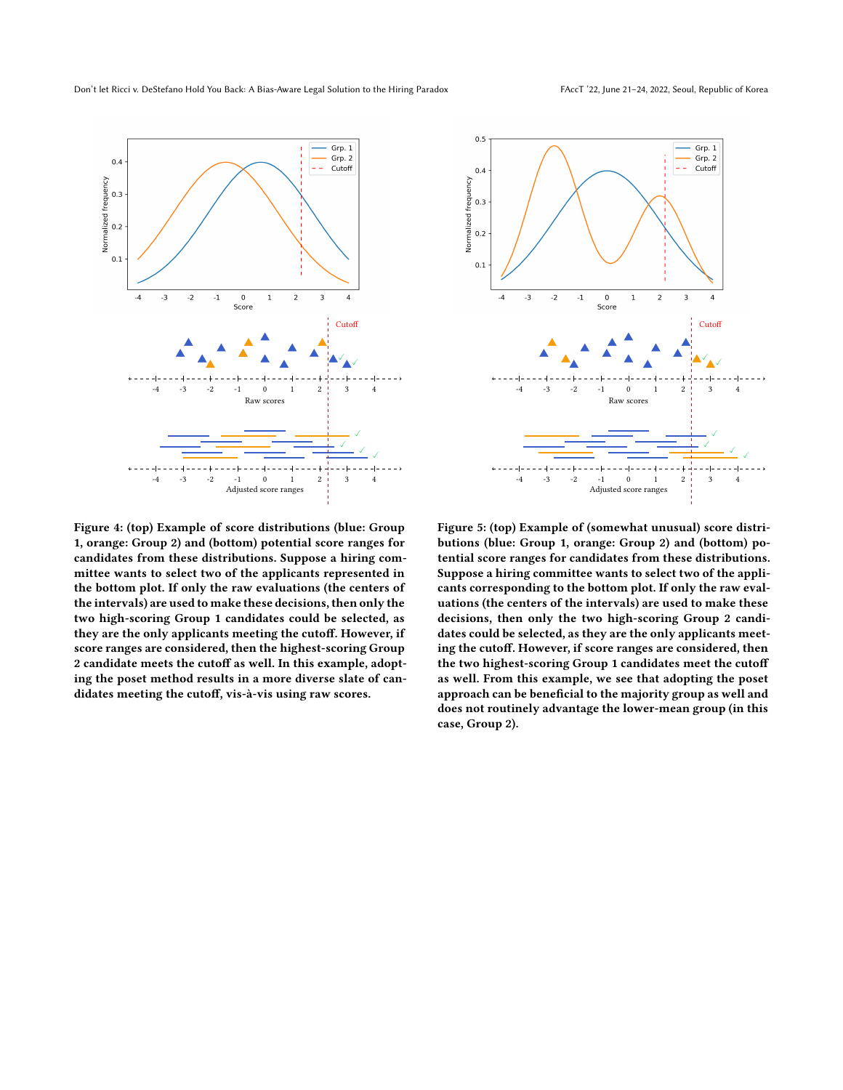<span id="page-14-0"></span>

Figure 4: (top) Example of score distributions (blue: Group 1, orange: Group 2) and (bottom) potential score ranges for candidates from these distributions. Suppose a hiring committee wants to select two of the applicants represented in the bottom plot. If only the raw evaluations (the centers of the intervals) are used to make these decisions, then only the two high-scoring Group 1 candidates could be selected, as they are the only applicants meeting the cutoff. However, if score ranges are considered, then the highest-scoring Group 2 candidate meets the cutoff as well. In this example, adopting the poset method results in a more diverse slate of candidates meeting the cutoff, vis-à-vis using raw scores.

<span id="page-14-1"></span>

Figure 5: (top) Example of (somewhat unusual) score distributions (blue: Group 1, orange: Group 2) and (bottom) potential score ranges for candidates from these distributions. Suppose a hiring committee wants to select two of the applicants corresponding to the bottom plot. If only the raw evaluations (the centers of the intervals) are used to make these decisions, then only the two high-scoring Group 2 candidates could be selected, as they are the only applicants meeting the cutoff. However, if score ranges are considered, then the two highest-scoring Group 1 candidates meet the cutoff as well. From this example, we see that adopting the poset approach can be beneficial to the majority group as well and does not routinely advantage the lower-mean group (in this case, Group 2).